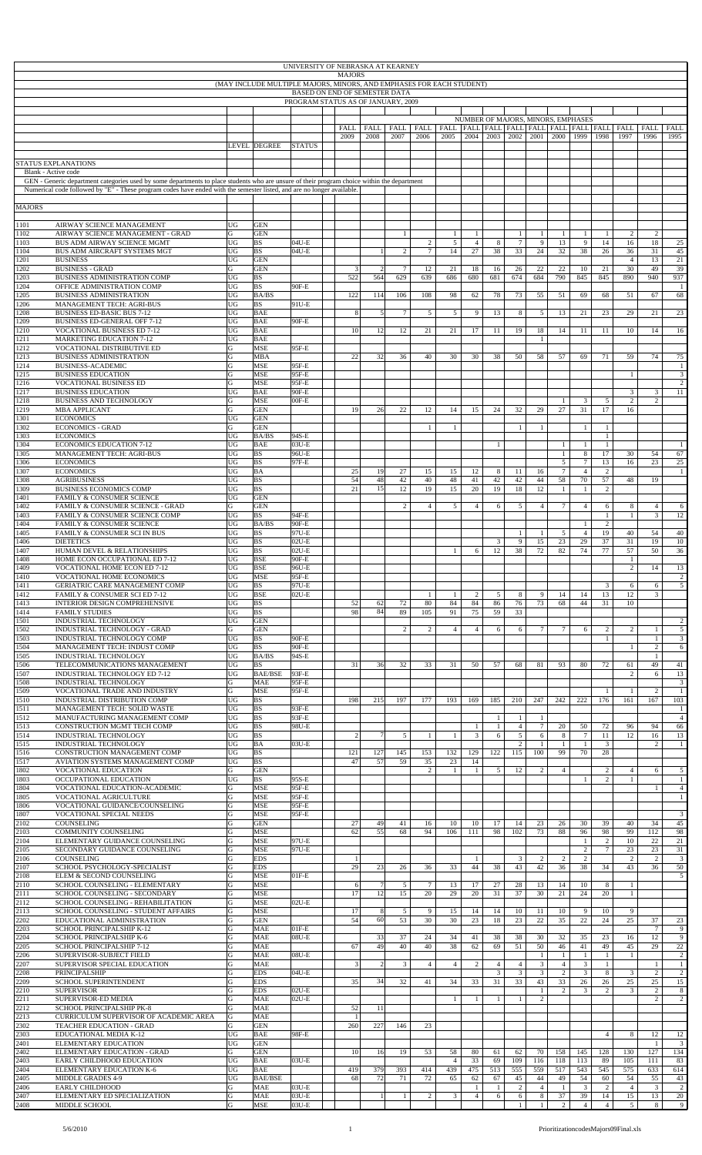|               |                                                                                                                                                                                                                                                                       |                |                                                                      | UNIVERSITY OF NEBRASKA AT KEARNEY                                   | <b>MAJORS</b> |               |                |                 |                                                       |                                |                    |                        |                                    |                              |                                  |                                |                      |                                  |                                |
|---------------|-----------------------------------------------------------------------------------------------------------------------------------------------------------------------------------------------------------------------------------------------------------------------|----------------|----------------------------------------------------------------------|---------------------------------------------------------------------|---------------|---------------|----------------|-----------------|-------------------------------------------------------|--------------------------------|--------------------|------------------------|------------------------------------|------------------------------|----------------------------------|--------------------------------|----------------------|----------------------------------|--------------------------------|
|               |                                                                                                                                                                                                                                                                       |                | (MAY INCLUDE MULTIPLE MAJORS, MINORS, AND EMPHASES FOR EACH STUDENT) |                                                                     |               |               |                |                 |                                                       |                                |                    |                        |                                    |                              |                                  |                                |                      |                                  |                                |
|               |                                                                                                                                                                                                                                                                       |                |                                                                      | BASED ON END OF SEMESTER DATA<br>PROGRAM STATUS AS OF JANUARY, 2009 |               |               |                |                 |                                                       |                                |                    |                        |                                    |                              |                                  |                                |                      |                                  |                                |
|               |                                                                                                                                                                                                                                                                       |                |                                                                      |                                                                     |               |               |                |                 |                                                       |                                |                    |                        | NUMBER OF MAJORS, MINORS, EMPHASES |                              |                                  |                                |                      |                                  |                                |
|               |                                                                                                                                                                                                                                                                       |                |                                                                      |                                                                     | <b>FALL</b>   | <b>FALL</b>   | FALL           | FALL            | FALL   FALL   FALL   FALL   FALL   FALL   FALL   FALL |                                |                    |                        |                                    |                              |                                  |                                | FALL                 | FALL                             | <b>FALL</b>                    |
|               |                                                                                                                                                                                                                                                                       |                | LEVEL DEGREE                                                         | <b>STATUS</b>                                                       | 2009          | 2008          | 2007           | 2006            | 2005                                                  | 2004                           | 2003               | 2002                   | 2001                               | 2000                         | 1999                             | 1998                           | 1997                 | 1996                             | 1995                           |
|               |                                                                                                                                                                                                                                                                       |                |                                                                      |                                                                     |               |               |                |                 |                                                       |                                |                    |                        |                                    |                              |                                  |                                |                      |                                  |                                |
|               | <b>STATUS EXPLANATIONS</b><br>Blank - Active code                                                                                                                                                                                                                     |                |                                                                      |                                                                     |               |               |                |                 |                                                       |                                |                    |                        |                                    |                              |                                  |                                |                      |                                  |                                |
|               | GEN - Generic department categories used by some departments to place students who are unsure of their program choice within the department<br>Numerical code followed by "E" - These program codes have ended with the semester listed, and are no longer available. |                |                                                                      |                                                                     |               |               |                |                 |                                                       |                                |                    |                        |                                    |                              |                                  |                                |                      |                                  |                                |
|               |                                                                                                                                                                                                                                                                       |                |                                                                      |                                                                     |               |               |                |                 |                                                       |                                |                    |                        |                                    |                              |                                  |                                |                      |                                  |                                |
| <b>MAJORS</b> |                                                                                                                                                                                                                                                                       |                |                                                                      |                                                                     |               |               |                |                 |                                                       |                                |                    |                        |                                    |                              |                                  |                                |                      |                                  |                                |
| 1101          | AIRWAY SCIENCE MANAGEMENT                                                                                                                                                                                                                                             | <b>UG</b>      | <b>GEN</b>                                                           |                                                                     |               |               |                |                 |                                                       |                                |                    |                        |                                    |                              |                                  |                                |                      |                                  |                                |
| 1102<br>103   | AIRWAY SCIENCE MANAGEMENT - GRAD<br>BUS ADM AIRWAY SCIENCE MGMT                                                                                                                                                                                                       | G<br>UG        | <b>GEN</b><br><b>BS</b>                                              | 04U-E                                                               |               |               | $\mathbf{1}$   | $\overline{c}$  | $\mathbf{1}$<br>5                                     | $\mathbf{1}$<br>$\overline{4}$ | 8                  | $\mathbf{1}$<br>$\tau$ | $\mathbf{1}$<br>9                  | $\mathbf{1}$<br>13           | $\mathbf{1}$<br>9                | $\mathbf{1}$<br>14             | 2<br>16              | 2<br>18                          | 25                             |
| 1104<br>1201  | BUS ADM AIRCRAFT SYSTEMS MGT<br><b>BUSINESS</b>                                                                                                                                                                                                                       | UG<br>UG       | <b>BS</b><br><b>GEN</b>                                              | $04U-E$                                                             |               |               | $\overline{2}$ | $7\phantom{.0}$ | 14                                                    | 27                             | 38                 | 33                     | 24                                 | 32                           | 38                               | 26                             | 36<br>$\overline{4}$ | 31<br>13                         | 45<br>21                       |
| 1202          | <b>BUSINESS - GRAD</b>                                                                                                                                                                                                                                                | G              | <b>GEN</b>                                                           |                                                                     | 3             |               | $\overline{7}$ | 12              | 21                                                    | 18                             | 16                 | 26                     | 22                                 | $22\,$                       | 10                               | 21                             | 30                   | 49                               | 39                             |
| 1203<br>204   | BUSINESS ADMINISTRATION COMP<br>OFFICE ADMINISTRATION COMP                                                                                                                                                                                                            | UG<br>UG       | <b>BS</b><br><b>BS</b>                                               | 90F-E                                                               | 522           | 564           | 629            | 639             | 686                                                   | 680                            | 681                | 674                    | 684                                | 790                          | 845                              | 845                            | 890                  | 940                              | 937<br>$\mathbf{1}$            |
| 1205          | <b>BUSINESS ADMINISTRATION</b>                                                                                                                                                                                                                                        | <b>UG</b>      | BA/BS                                                                |                                                                     | 122           | 114           | 106            | 108             | 98                                                    | 62                             | 78                 | 73                     | 55                                 | 51                           | 69                               | 68                             | 51                   | 67                               | 68                             |
| 1206<br>1208  | MANAGEMENT TECH: AGRI-BUS<br><b>BUSINESS ED-BASIC BUS 7-12</b>                                                                                                                                                                                                        | UG<br>UG       | <b>BS</b><br><b>BAE</b>                                              | 91U-E                                                               | 8             | $\mathcal{F}$ | $\tau$         | $\mathfrak{S}$  | 5                                                     | 9                              | 13                 | 8                      | 5                                  | 13                           | 21                               | 23                             | 29                   | 21                               | 23                             |
| 1209<br>1210  | <b>BUSINESS ED-GENERAL OFF 7-12</b><br>VOCATIONAL BUSINESS ED 7-12                                                                                                                                                                                                    | UG<br>UG       | <b>BAE</b><br><b>BAE</b>                                             | 90F-E                                                               | 10            | 12            | 12             | 21              | 21                                                    | 17                             | 11                 | 19                     |                                    | 14                           | 11                               | 11                             | 10                   | 14                               |                                |
| 1211          | <b>MARKETING EDUCATION 7-12</b>                                                                                                                                                                                                                                       | UG             | <b>BAE</b>                                                           |                                                                     |               |               |                |                 |                                                       |                                |                    |                        | 18<br>$\mathbf{1}$                 |                              |                                  |                                |                      |                                  | 16                             |
| 1212<br>1213  | VOCATIONAL DISTRIBUTIVE ED<br><b>BUSINESS ADMINISTRATION</b>                                                                                                                                                                                                          | G<br>${\bf G}$ | <b>MSE</b><br><b>MBA</b>                                             | 95F-E                                                               | 22            | 32            | 36             | 40              | 30                                                    | 30                             | 38                 | 50                     | 58                                 | 57                           | 69                               | 71                             | 59                   | 74                               | 75                             |
| 1214          | <b>BUSINESS-ACADEMIC</b>                                                                                                                                                                                                                                              | ${\bf G}$      | <b>MSE</b>                                                           | 95F-E                                                               |               |               |                |                 |                                                       |                                |                    |                        |                                    |                              |                                  |                                |                      |                                  | $\mathbf{1}$                   |
| 1215<br>1216  | <b>BUSINESS EDUCATION</b><br>VOCATIONAL BUSINESS ED                                                                                                                                                                                                                   | G<br>G         | <b>MSE</b><br><b>MSE</b>                                             | 95F-E<br>95F-E                                                      |               |               |                |                 |                                                       |                                |                    |                        |                                    |                              |                                  |                                | -1                   |                                  | $\overline{3}$<br>2            |
| 1217          | <b>BUSINESS EDUCATION</b>                                                                                                                                                                                                                                             | UG             | <b>BAE</b>                                                           | 90F-E                                                               |               |               |                |                 |                                                       |                                |                    |                        |                                    |                              |                                  |                                | $\overline{3}$       | 3                                | 11                             |
| 1218<br>1219  | <b>BUSINESS AND TECHNOLOGY</b><br><b>MBA APPLICANT</b>                                                                                                                                                                                                                | G<br>G         | <b>MSE</b><br><b>GEN</b>                                             | $00F-E$                                                             | 19            | 26            | 22             | 12              | 14                                                    | 15                             | 24                 | 32                     | 29                                 | 1<br>27                      | $\boldsymbol{\beta}$<br>31       | 5<br>17                        | $\overline{c}$<br>16 | $\overline{c}$                   |                                |
| 1301<br>302   | <b>ECONOMICS</b><br><b>ECONOMICS - GRAD</b>                                                                                                                                                                                                                           | UG<br>G        | <b>GEN</b><br><b>GEN</b>                                             |                                                                     |               |               |                | $\mathbf{1}$    | $\mathbf{1}$                                          |                                |                    | $\mathbf{1}$           | $\mathbf{1}$                       |                              | $\mathbf{1}$                     | $\mathbf{1}$                   |                      |                                  |                                |
| 1303          | <b>ECONOMICS</b>                                                                                                                                                                                                                                                      | UG             | BA/BS                                                                | 94S-E                                                               |               |               |                |                 |                                                       |                                |                    |                        |                                    |                              |                                  | $\mathbf{1}$                   |                      |                                  |                                |
| 1304<br>1305  | <b>ECONOMICS EDUCATION 7-12</b><br><b>MANAGEMENT TECH: AGRI-BUS</b>                                                                                                                                                                                                   | UG<br>UG       | <b>BAE</b><br><b>BS</b>                                              | $03U-E$<br>96U-E                                                    |               |               |                |                 |                                                       |                                | $\mathbf{1}$       |                        |                                    | $\mathbf{1}$<br>$\mathbf{1}$ | $\mathbf{1}$<br>$\,$ 8 $\,$      | $\mathbf{1}$<br>17             | 30                   | 54                               | $\mathbf{1}$<br>67             |
| 306           | <b>ECONOMICS</b>                                                                                                                                                                                                                                                      | UG             | <b>BS</b>                                                            | 97F-E                                                               |               |               |                |                 |                                                       |                                |                    |                        |                                    | $\sqrt{5}$                   | $\overline{7}$                   | 13                             | 16                   | 23                               | 25                             |
| 1307<br>1308  | <b>ECONOMICS</b><br><b>AGRIBUSINESS</b>                                                                                                                                                                                                                               | UG<br>UG       | $\rm BA$<br><b>BS</b>                                                |                                                                     | 25<br>54      | 19<br>48      | 27<br>42       | 15<br>40        | 15<br>48                                              | 12<br>41                       | 8<br>42            | 11<br>42               | 16<br>44                           | $\tau$<br>58                 | $\overline{4}$<br>70             | $\overline{c}$<br>57           | 48                   | 19                               | $\mathbf{1}$                   |
| 1309<br>1401  | <b>BUSINESS ECONOMICS COMP</b><br>FAMILY & CONSUMER SCIENCE                                                                                                                                                                                                           | UG<br>UG       | <b>BS</b><br><b>GEN</b>                                              |                                                                     | 21            | 15            | 12             | 19              | 15                                                    | 20                             | 19                 | 18                     | 12                                 | $\mathbf{1}$                 | $\mathbf{1}$                     | $\overline{2}$                 |                      |                                  |                                |
| 402           | FAMILY & CONSUMER SCIENCE - GRAD                                                                                                                                                                                                                                      | G              | <b>GEN</b>                                                           |                                                                     |               |               | $\overline{2}$ | $\overline{4}$  | 5                                                     | $\overline{4}$                 | 6                  | 5                      | $\overline{4}$                     | $7\phantom{.0}$              | $\overline{4}$                   | 6                              | 8                    | $\overline{4}$                   | 6                              |
| 1403<br>1404  | FAMILY & CONSUMER SCIENCE COMP<br>FAMILY & CONSUMER SCIENCE                                                                                                                                                                                                           | UG<br>UG       | <b>BS</b><br>BA/BS                                                   | 94F-E<br>90F-E                                                      |               |               |                |                 |                                                       |                                |                    |                        |                                    |                              | $\mathbf{1}$                     | $\mathbf{1}$<br>$\overline{c}$ | -1                   | 3                                | 12                             |
| 1405          | FAMILY & CONSUMER SCI IN BUS                                                                                                                                                                                                                                          | UG             | <b>BS</b>                                                            | 97U-E                                                               |               |               |                |                 |                                                       |                                |                    | $\mathbf{1}$           | -1                                 | $\sqrt{5}$                   | $\overline{4}$                   | 19                             | 40                   | 54                               | 40                             |
| 1406<br>1407  | <b>DIETETICS</b><br>HUMAN DEVEL & RELATIONSHIPS                                                                                                                                                                                                                       | UG<br>UG       | <b>BS</b><br><b>BS</b>                                               | $02U-E$<br>$02U-E$                                                  |               |               |                |                 | $\mathbf{1}$                                          | 6                              | 3<br>12            | 9<br>38                | 15<br>72                           | 23<br>82                     | 29<br>74                         | 37<br>77                       | 31<br>57             | 19<br>50                         | 10<br>36                       |
| 1408          | HOME ECON OCCUPATIONAL ED 7-12                                                                                                                                                                                                                                        | UG             | <b>BSE</b>                                                           | 90F-E                                                               |               |               |                |                 |                                                       |                                |                    |                        |                                    |                              |                                  |                                | 1                    |                                  |                                |
| 1409<br>1410  | VOCATIONAL HOME ECON ED 7-12<br>VOCATIONAL HOME ECONOMICS                                                                                                                                                                                                             | UG<br>UG       | <b>BSE</b><br>MSE                                                    | 96U-E<br>95F-E                                                      |               |               |                |                 |                                                       |                                |                    |                        |                                    |                              |                                  |                                | $\overline{c}$       | 14                               | 13                             |
| 1411<br>1412  | GERIATRIC CARE MANAGEMENT COMP<br>FAMILY & CONSUMER SCI ED 7-12                                                                                                                                                                                                       | UG<br>UG       | BS<br><b>BSE</b>                                                     | 97U-E<br>$02U-E$                                                    |               |               |                | -1              | -1                                                    | 2                              | 5                  | 8                      | 9                                  | 14                           | 14                               | 3<br>13                        | 6<br>12              | 6<br>3                           | 5                              |
| 1413          | <b>INTERIOR DESIGN COMPREHENSIVE</b>                                                                                                                                                                                                                                  | UG             | <b>BS</b>                                                            |                                                                     | 52            | 62            | 72             | 80              | 84                                                    | 84                             | 86                 | 76                     | 73                                 | 68                           | 44                               | 31                             | 10                   |                                  |                                |
| 1414<br>1501  | <b>FAMILY STUDIES</b><br>INDUSTRIAL TECHNOLOGY                                                                                                                                                                                                                        | UG<br>UG       | <b>BS</b><br><b>GEN</b>                                              |                                                                     | 98            | 84            | 89             | 105             | 91                                                    | 75                             | 59                 | 33                     |                                    |                              |                                  |                                |                      |                                  | $\overline{c}$                 |
| 1502          | INDUSTRIAL TECHNOLOGY - GRAD                                                                                                                                                                                                                                          | G              | <b>GEN</b>                                                           |                                                                     |               |               | 2              | $\overline{2}$  | $\overline{4}$                                        | $\overline{4}$                 | 6                  | 6                      | $7\overline{ }$                    | $\tau$                       | 6                                | $\overline{2}$                 | 2                    | $\mathbf{1}$                     | 5                              |
| 1503<br>1504  | INDUSTRIAL TECHNOLOGY COMP<br>MANAGEMENT TECH: INDUST COMP                                                                                                                                                                                                            | UG<br>UG       | <b>BS</b><br><b>BS</b>                                               | 90F-E<br>90F-E                                                      |               |               |                |                 |                                                       |                                |                    |                        |                                    |                              |                                  | $\mathbf{1}$                   | $\mathbf{1}$         | $\mathbf{1}$<br>$\overline{c}$   | 3<br>6                         |
| 1505<br>1506  | INDUSTRIAL TECHNOLOGY<br>TELECOMMUNICATIONS MANAGEMENT                                                                                                                                                                                                                | UG<br>UG       | BA/BS<br><b>BS</b>                                                   | 94S-E                                                               | 31            | 36            | 32             | 33              | 31                                                    | 50                             | 57                 | 68                     | 81                                 | 93                           | 80                               | 72                             | 61                   | $\mathbf{1}$<br>49               | 41                             |
| 1507          | INDUSTRIAL TECHNOLOGY ED 7-12                                                                                                                                                                                                                                         | UG             | <b>BAE/BSE</b>                                                       | 93F-E                                                               |               |               |                |                 |                                                       |                                |                    |                        |                                    |                              |                                  |                                | 2                    | 6                                | 13                             |
| 1508<br>1509  | INDUSTRIAL TECHNOLOGY<br>VOCATIONAL TRADE AND INDUSTRY                                                                                                                                                                                                                | G<br>G         | <b>MAE</b><br><b>MSE</b>                                             | 95F-E<br>95F-E                                                      |               |               |                |                 |                                                       |                                |                    |                        |                                    |                              |                                  | -1                             | -1                   | 2                                | 3<br>$\mathbf{1}$              |
| 1510          | INDUSTRIAL DISTRIBUTION COMP                                                                                                                                                                                                                                          | UG             | <b>BS</b>                                                            |                                                                     | 198           | 215           | 197            | 177             | 193                                                   | 169                            | 185                | 210                    | 247                                | 242                          | 222                              | 176                            | 161                  | 167                              | 103                            |
| 1511<br>1512  | MANAGEMENT TECH: SOLID WASTE<br>MANUFACTURING MANAGEMENT COMP                                                                                                                                                                                                         | UG<br>UG       | <b>BS</b><br><b>BS</b>                                               | 93F-E<br>93F-E                                                      |               |               |                |                 |                                                       |                                | 1                  | 1                      | -1                                 |                              |                                  |                                |                      |                                  | $\mathbf{1}$<br>$\overline{4}$ |
| 1513<br>1514  | CONSTRUCTION MGMT TECH COMP<br>INDUSTRIAL TECHNOLOGY                                                                                                                                                                                                                  | UG<br>UG       | <b>BS</b><br><b>BS</b>                                               | 98U-E                                                               |               | 7             | 5              | -1              | 1                                                     | $\mathbf{1}$<br>3              | $\mathbf{1}$<br>6  | $\overline{4}$<br>5    | $7\phantom{.0}$                    | 20                           | 50<br>$\overline{7}$             | 72<br>11                       | 96<br>12             | 94<br>16                         | 66<br>13                       |
| 1515          | INDUSTRIAL TECHNOLOGY                                                                                                                                                                                                                                                 | UG             | BA                                                                   | 03U-E                                                               |               |               |                |                 |                                                       |                                |                    | 2                      | 6<br>-1                            | 8<br>$\mathbf{1}$            | 1                                | $\mathfrak{Z}$                 |                      | 2                                | $\mathbf{1}$                   |
| 1516<br>1517  | CONSTRUCTION MANAGEMENT COMP<br>AVIATION SYSTEMS MANAGEMENT COMP                                                                                                                                                                                                      | UG<br>UG       | <b>BS</b><br><b>BS</b>                                               |                                                                     | 121<br>47     | 127<br>57     | 145<br>59      | 153<br>35       | 132<br>23                                             | 129<br>14                      | 122                | 115                    | 100                                | 99                           | 70                               | 28                             |                      |                                  |                                |
| 1802          | VOCATIONAL EDUCATION                                                                                                                                                                                                                                                  | G              | <b>GEN</b>                                                           |                                                                     |               |               |                | $\overline{2}$  | $\mathbf{1}$                                          | $\mathbf{1}$                   | 5                  | 12                     | $\overline{c}$                     | $\overline{4}$               |                                  | $\overline{c}$                 | $\overline{4}$       | 6                                | 5                              |
| 1803<br>1804  | OCCUPATIONAL EDUCATION<br>VOCATIONAL EDUCATION-ACADEMIC                                                                                                                                                                                                               | UG<br>G        | <b>BS</b><br><b>MSE</b>                                              | 95S-E<br>95F-E                                                      |               |               |                |                 |                                                       |                                |                    |                        |                                    |                              | 1                                | $\overline{2}$                 | $\mathbf{1}$         | 1                                | $\mathbf{1}$<br>$\overline{4}$ |
| 1805<br>1806  | VOCATIONAL AGRICULTURE<br>VOCATIONAL GUIDANCE/COUNSELING                                                                                                                                                                                                              | G<br>G         | <b>MSE</b><br><b>MSE</b>                                             | 95F-E<br>95F-E                                                      |               |               |                |                 |                                                       |                                |                    |                        |                                    |                              |                                  |                                |                      |                                  | 1                              |
| 1807          | VOCATIONAL SPECIAL NEEDS                                                                                                                                                                                                                                              | G              | <b>MSE</b>                                                           | 95F-E                                                               |               |               |                |                 |                                                       |                                |                    |                        |                                    |                              |                                  |                                |                      |                                  | 3                              |
| 2102<br>2103  | COUNSELING<br>COMMUNITY COUNSELING                                                                                                                                                                                                                                    | G<br>G         | <b>GEN</b><br><b>MSE</b>                                             |                                                                     | 27<br>62      | 49<br>55      | 41<br>68       | 16<br>94        | 10<br>106                                             | 10<br>111                      | 17<br>98           | 14<br>102              | 23<br>73                           | 26<br>88                     | 30<br>96                         | 39<br>98                       | 40<br>99             | 34<br>112                        | 45<br>98                       |
| 2104          | ELEMENTARY GUIDANCE COUNSELING                                                                                                                                                                                                                                        | G              | <b>MSE</b>                                                           | 97U-E                                                               |               |               |                |                 |                                                       |                                |                    |                        |                                    |                              | $\mathbf{1}$                     | $\overline{c}$                 | 10                   | 22                               | 21                             |
| 2105<br>2106  | SECONDARY GUIDANCE COUNSELING<br>COUNSELING                                                                                                                                                                                                                           | G<br>G         | <b>MSE</b><br><b>EDS</b>                                             | 97U-E                                                               |               |               |                |                 |                                                       | -1                             |                    | 3                      | $\overline{c}$                     | 2                            | $\overline{2}$<br>$\overline{c}$ | $\tau$                         | 23<br>2              | 23<br>2                          | 31<br>3                        |
| 2107<br>2108  | SCHOOL PSYCHOLOGY-SPECIALIST<br>ELEM & SECOND COUNSELING                                                                                                                                                                                                              | G<br>G         | <b>EDS</b><br><b>MSE</b>                                             | $01F-E$                                                             | 29            | 23            | 26             | 36              | 33                                                    | 44                             | 38                 | 43                     | 42                                 | 36                           | 38                               | 34                             | 43                   | 36                               | 50<br>5                        |
| 2110          | SCHOOL COUNSELING - ELEMENTARY                                                                                                                                                                                                                                        | G              | MSE                                                                  |                                                                     | 6             |               | 5              | $\tau$          | 13                                                    | 17                             | 27                 | 28                     | 13                                 | 14                           | 10                               | 8                              | $\mathbf{1}$         |                                  |                                |
| 2111<br>2112  | SCHOOL COUNSELING - SECONDARY<br>SCHOOL COUNSELING - REHABILITATION                                                                                                                                                                                                   | G<br>G         | <b>MSE</b><br><b>MSE</b>                                             | $02U-E$                                                             | 17            | 12            | 15             | 20              | 29                                                    | 20                             | 31                 | 37                     | 30                                 | 21                           | 24                               | 20                             | $\mathbf{1}$         |                                  |                                |
| 2113          | SCHOOL COUNSELING - STUDENT AFFAIRS                                                                                                                                                                                                                                   | G              | MSE                                                                  |                                                                     | 17            | 8             | 5              | 9               | 15                                                    | 14                             | 14                 | 10                     | 11                                 | 10                           | 9                                | 10                             | 9                    |                                  |                                |
| 2202<br>2203  | EDUCATIONAL ADMINISTRATION<br>SCHOOL PRINCIPALSHIP K-12                                                                                                                                                                                                               | G<br>G         | <b>GEN</b><br><b>MAE</b>                                             | $01F-E$                                                             | 54            | 60            | 53             | 30              | 30                                                    | 23                             | 18                 | 23                     | 22                                 | 35                           | 22                               | 24                             | 25                   | 37<br>$\tau$                     | 23<br>9                        |
| 2204<br>2205  | SCHOOL PRINCIPALSHIP K-6<br>SCHOOL PRINCIPALSHIP 7-12                                                                                                                                                                                                                 | G<br>G         | <b>MAE</b><br><b>MAE</b>                                             | $08U-E$                                                             | 67            | 33<br>49      | 37<br>40       | 24<br>40        | 34<br>38                                              | 41<br>62                       | 38<br>69           | 38<br>51               | 30<br>50                           | 32<br>46                     | 35<br>41                         | 23<br>49                       | 16<br>45             | 12<br>29                         | 9<br>22                        |
| 2206          | SUPERVISOR-SUBJECT FIELD                                                                                                                                                                                                                                              | G              | <b>MAE</b>                                                           | $08U-E$                                                             |               |               |                |                 |                                                       |                                |                    |                        | -1                                 | $\mathbf{1}$                 | $\mathbf{1}$                     | $\mathbf{1}$                   | $\mathbf{1}$         |                                  | 2                              |
| 2207<br>2208  | SUPERVISOR SPECIAL EDUCATION<br>PRINCIPALSHIP                                                                                                                                                                                                                         | G<br>G         | MAE<br><b>EDS</b>                                                    | 04U-E                                                               | 3             | 2             | 3              | $\overline{4}$  | $\overline{4}$                                        | 2                              | 4<br>3             | 4<br>3                 | 3<br>3                             | $\overline{4}$<br>2          | 3<br>3                           | $\mathbf{1}$<br>8              | 3                    | $\mathbf{1}$<br>2                | 1<br>$\overline{c}$            |
| 2209          | SCHOOL SUPERINTENDENT                                                                                                                                                                                                                                                 | G              | <b>EDS</b>                                                           |                                                                     | 35            | 34            | 32             | 41              | 34                                                    | 33                             | 31                 | 33                     | 43                                 | 33                           | 26                               | 26                             | 25                   | 25                               | 15                             |
| 2210<br>2211  | <b>SUPERVISOR</b><br>SUPERVISOR-ED MEDIA                                                                                                                                                                                                                              | G<br>G         | <b>EDS</b><br><b>MAE</b>                                             | $02U-E$<br>$02U-E$                                                  |               |               |                |                 | $\mathbf{1}$                                          | 1                              | $\mathbf{1}$       | 1                      | $\mathbf{1}$<br>$\overline{c}$     | 2                            | 3                                | $\overline{c}$                 | 3                    | $\overline{2}$<br>$\overline{2}$ | 8<br>$\overline{c}$            |
| 2212<br>2213  | SCHOOL PRINCIPALSHIP PK-8<br>CURRICULUM SUPERVISOR OF ACADEMIC AREA                                                                                                                                                                                                   | G<br>G         | <b>MAE</b><br><b>MAE</b>                                             |                                                                     | 52            | 11            |                |                 |                                                       |                                |                    |                        |                                    |                              |                                  |                                |                      |                                  |                                |
| 2302          | <b>TEACHER EDUCATION - GRAD</b>                                                                                                                                                                                                                                       | G              | <b>GEN</b>                                                           |                                                                     | 260           | 227           | 146            | 23              |                                                       |                                |                    |                        |                                    |                              |                                  |                                |                      |                                  |                                |
| 2303<br>2401  | EDUCATIONAL MEDIA K-12<br><b>ELEMENTARY EDUCATION</b>                                                                                                                                                                                                                 | UG<br>UG       | BAE<br><b>GEN</b>                                                    | 98F-E                                                               |               |               |                |                 |                                                       |                                |                    |                        |                                    |                              |                                  | $\overline{4}$                 | 8                    | 12<br>-1                         | 12<br>3                        |
| 2402          | ELEMENTARY EDUCATION - GRAD                                                                                                                                                                                                                                           | G              | <b>GEN</b>                                                           |                                                                     | 10            | 16            | 19             | 53              | 58                                                    | 80                             | 61                 | 62                     | 70                                 | 158                          | 145                              | 128                            | 130                  | 127                              | 134                            |
| 2403<br>2404  | EARLY CHILDHOOD EDUCATION<br>ELEMENTARY EDUCATION K-6                                                                                                                                                                                                                 | UG<br>UG       | <b>BAE</b><br><b>BAE</b>                                             | 03U-E                                                               | 419           | 379           | 393            | 414             | 4<br>439                                              | 33<br>475                      | 69<br>513          | 109<br>555             | 116<br>559                         | 118<br>517                   | 113<br>543                       | 89<br>545                      | 105<br>575           | 111<br>633                       | 83<br>614                      |
| 2405<br>2406  | MIDDLE GRADES 4-9<br>EARLY CHILDHOOD                                                                                                                                                                                                                                  | UG<br>G        | <b>BAE/BSE</b><br><b>MAE</b>                                         | $03U-E$                                                             | 68            | 72            | 71             | 72              | 65                                                    | 62<br>$\mathbf{1}$             | 67<br>$\mathbf{1}$ | 45<br>$\sqrt{2}$       | 44<br>$\overline{4}$               | 49<br>$\mathbf{1}$           | 54<br>$\overline{3}$             | 60<br>$\sqrt{2}$               | 54<br>$\overline{4}$ | 55<br>3                          | 43<br>$\overline{2}$           |
| 2407<br>2408  | ELEMENTARY ED SPECIALIZATION                                                                                                                                                                                                                                          | G              | MAE                                                                  | 03U-E                                                               |               | $\frac{1}{2}$ | $\mathbf{1}$   | $\overline{2}$  | 3                                                     | $\overline{4}$                 | 6                  | 6                      | 8                                  | 37                           | 39                               | 14                             | 15                   | 13                               | 20                             |
|               | MIDDLE SCHOOL                                                                                                                                                                                                                                                         | G              | <b>MSE</b>                                                           | 03U-E                                                               |               |               |                |                 |                                                       |                                |                    |                        | $\mathbf{1}$                       | $\overline{2}$               | $\overline{4}$                   | $\overline{4}$                 | 5 <sup>5</sup>       | 8                                | 9                              |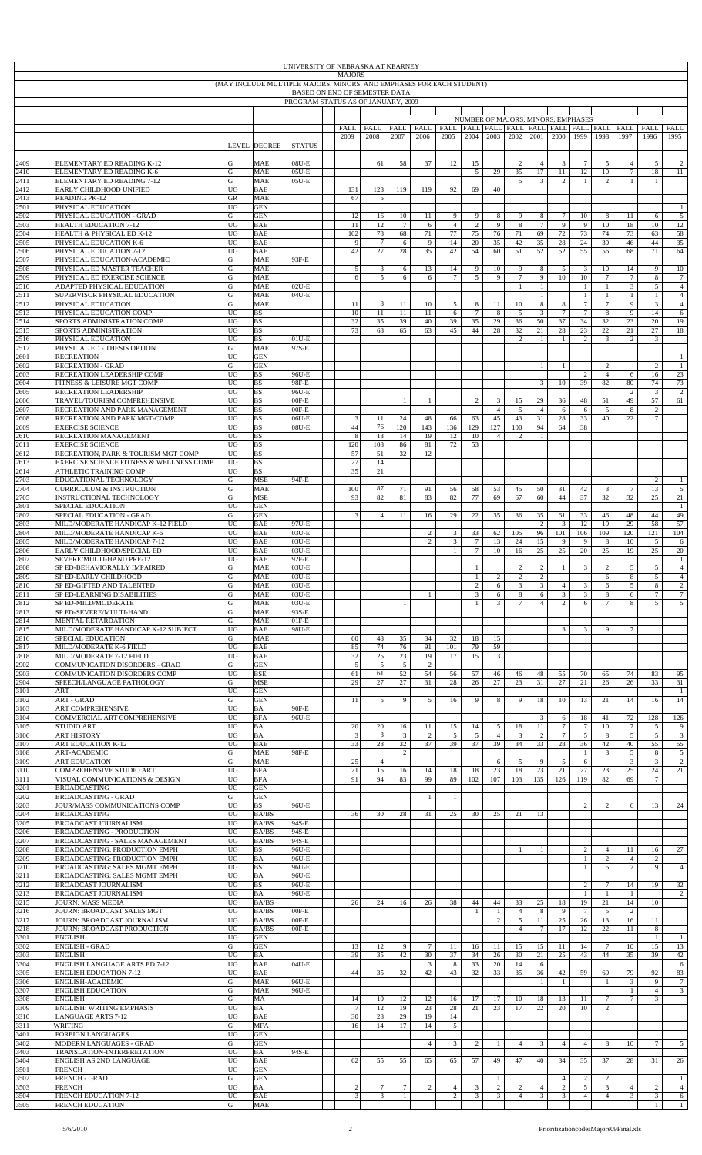| UNIVERSITY OF NEBRASKA AT KEARNEY<br><b>MAJORS</b><br>(MAY INCLUDE MULTIPLE MAJORS, MINORS, AND EMPHASES FOR EACH STUDENT)<br>BASED ON END OF SEMESTER DATA |                                                                    |          |                          |                    |  |                    |                      |                      |                      |                                |                                    |                                |                     |                      |                                  |                                |                                  |                                                                      |                      |                                  |
|-------------------------------------------------------------------------------------------------------------------------------------------------------------|--------------------------------------------------------------------|----------|--------------------------|--------------------|--|--------------------|----------------------|----------------------|----------------------|--------------------------------|------------------------------------|--------------------------------|---------------------|----------------------|----------------------------------|--------------------------------|----------------------------------|----------------------------------------------------------------------|----------------------|----------------------------------|
|                                                                                                                                                             | PROGRAM STATUS AS OF JANUARY, 2009                                 |          |                          |                    |  |                    |                      |                      |                      |                                |                                    |                                |                     |                      |                                  |                                |                                  |                                                                      |                      |                                  |
|                                                                                                                                                             |                                                                    |          |                          |                    |  |                    |                      |                      |                      |                                |                                    |                                |                     |                      |                                  |                                |                                  |                                                                      |                      |                                  |
|                                                                                                                                                             |                                                                    |          |                          |                    |  |                    |                      |                      |                      |                                | NUMBER OF MAJORS, MINORS, EMPHASES |                                |                     |                      |                                  |                                |                                  |                                                                      |                      |                                  |
|                                                                                                                                                             |                                                                    |          |                          |                    |  | FALL               | <b>FALL</b><br>2008  | FALL FALL<br>2007    | 2006                 | 2005                           | 2004                               | 2003                           |                     | 2002 2001            | 2000                             | 1999                           | 1998                             | FALL   FALL   FALL   FALL   FALL   FALL   FALL   FALL   FALL<br>1997 | 1996                 | FALL                             |
|                                                                                                                                                             |                                                                    |          | LEVEL DEGREE             | <b>STATUS</b>      |  | 2009               |                      |                      |                      |                                |                                    |                                |                     |                      |                                  |                                |                                  |                                                                      |                      | 1995                             |
| 2409                                                                                                                                                        | ELEMENTARY ED READING K-12                                         | G        | <b>MAE</b>               | $08U-E$            |  |                    | 61                   | 58                   | 37                   | 12                             | 15                                 |                                | $\overline{c}$      | $\overline{4}$       | 3                                | $\tau$                         | 5                                | $\overline{4}$                                                       | 5                    | 2                                |
| 2410<br>2411                                                                                                                                                | ELEMENTARY ED READING K-6<br>ELEMENTARY ED READING 7-12            | G<br>G   | <b>MAE</b><br><b>MAE</b> | $05U-E$<br>$05U-E$ |  |                    |                      |                      |                      |                                | 5                                  | 29                             | 35<br>5             | 17<br>3              | 11<br>$\overline{2}$             | 12<br>$\mathbf{1}$             | 10<br>$\overline{c}$             | $\tau$<br>1                                                          | 18<br>$\mathbf{1}$   | 11                               |
| 2412                                                                                                                                                        | EARLY CHILDHOOD UNIFIED                                            | UG       | <b>BAE</b>               |                    |  | 131                | 128                  | 119                  | 119                  | 92                             | 69                                 | 40                             |                     |                      |                                  |                                |                                  |                                                                      |                      |                                  |
| 2413<br>2501                                                                                                                                                | <b>READING PK-12</b><br>PHYSICAL EDUCATION                         | GR<br>UG | <b>MAE</b><br><b>GEN</b> |                    |  | 67                 | 5                    |                      |                      |                                |                                    |                                |                     |                      |                                  |                                |                                  |                                                                      |                      | 1                                |
| 2502<br>2503                                                                                                                                                | PHYSICAL EDUCATION - GRAD<br><b>HEALTH EDUCATION 7-12</b>          | G<br>UG  | <b>GEN</b><br><b>BAE</b> |                    |  | 12<br>11           | 16<br>12             | 10<br>$\tau$         | 11<br>6              | 9<br>$\overline{4}$            | 9<br>$\overline{2}$                | 8<br>9                         | 9<br>8              | 8<br>$7\phantom{.0}$ | $\overline{7}$<br>9              | 10<br>9                        | 8<br>10                          | 11<br>18                                                             | 6<br>10              | 5<br>12                          |
| 2504<br>2505                                                                                                                                                | HEALTH & PHYSICAL ED K-12<br>PHYSICAL EDUCATION K-6                | UG<br>UG | <b>BAE</b><br><b>BAE</b> |                    |  | 102<br>$\mathbf Q$ | 78<br>$\overline{7}$ | 68<br>6              | 71<br>9              | 77<br>14                       | 75<br>20                           | 76<br>35                       | 71<br>42            | 69<br>35             | 72<br>28                         | 73<br>24                       | 74<br>39                         | 73<br>46                                                             | 63<br>44             | 58<br>35                         |
| 2506                                                                                                                                                        | PHYSICAL EDUCATION 7-12                                            | UG       | <b>BAE</b>               |                    |  | 42                 | 27                   | 28                   | 35                   | 42                             | 54                                 | 60                             | 51                  | 52                   | 52                               | 55                             | 56                               | 68                                                                   | 71                   | 64                               |
| 2507<br>2508                                                                                                                                                | PHYSICAL EDUCATION-ACADEMIC<br>PHYSICAL ED MASTER TEACHER          | G<br>G   | <b>MAE</b><br><b>MAE</b> | 93F-E              |  | 5 <sub>l</sub>     | 3                    | 6                    | 13                   | 14                             | 9                                  | 10                             | 9                   | 8                    | 5                                | 3                              | 10                               | 14                                                                   | 9                    | 10                               |
| 2509<br>2510                                                                                                                                                | PHYSICAL ED EXERCISE SCIENCE<br>ADAPTED PHYSICAL EDUCATION         | G<br>G   | <b>MAE</b><br><b>MAE</b> | $02U-E$            |  |                    | 5                    | 6                    | 6                    | $\overline{7}$                 | $\sqrt{5}$                         | 9                              | $\tau$<br>1         | 9<br>-1              | 10                               | 10<br>$\mathbf{1}$             | $\tau$<br>$\mathbf{1}$           | $\tau$<br>$\mathfrak{Z}$                                             | 8<br>5               | $\overline{7}$<br>$\overline{4}$ |
| 2511<br>2512                                                                                                                                                | SUPERVISOR PHYSICAL EDUCATION<br>PHYSICAL EDUCATION                | G<br>G   | MAE<br><b>MAE</b>        | 04U-E              |  | 11                 | 8                    | 11                   | 10                   | 5                              | 8                                  | 11                             | 10                  | $\mathbf{1}$<br>8    | 8                                | $\mathbf{1}$<br>$\tau$         | $\mathbf{1}$<br>$\overline{7}$   | $\mathbf{1}$<br>9                                                    | 3                    | $\overline{4}$<br>$\overline{4}$ |
| 2513<br>2514                                                                                                                                                | PHYSICAL EDUCATION COMP.<br>SPORTS ADMINISTRATION COMP             | UG<br>UG | <b>BS</b><br><b>BS</b>   |                    |  | 10<br>32           | 11                   | 11<br>39             | 11                   | 6                              | $\tau$<br>35                       | 8                              | 5                   | 3                    | 7<br>37                          | $\tau$<br>34                   | 8<br>32                          | 9<br>23                                                              | 14<br>20             | 6<br>19                          |
| 2515                                                                                                                                                        | SPORTS ADMINISTRATION                                              | UG       | <b>BS</b>                |                    |  | 73                 | 35<br>68             | 65                   | 40<br>63             | 39<br>45                       | 44                                 | 29<br>28                       | 36<br>32            | 50<br>21             | 28                               | 23                             | 22                               | 21                                                                   | 27                   | 18                               |
| 2516<br>2517                                                                                                                                                | PHYSICAL EDUCATION<br>PHYSICAL ED - THESIS OPTION                  | UG<br>G  | <b>BS</b><br><b>MAE</b>  | $01U-E$<br>97S-E   |  |                    |                      |                      |                      |                                |                                    |                                | 2                   | 1                    | -1                               | $\sqrt{2}$                     | 3                                | $\overline{c}$                                                       | 3                    |                                  |
| 2601<br>2602                                                                                                                                                | <b>RECREATION</b><br><b>RECREATION - GRAD</b>                      | UG<br>G  | <b>GEN</b><br><b>GEN</b> |                    |  |                    |                      |                      |                      |                                |                                    |                                |                     | -1                   | $\mathbf{1}$                     |                                | 2                                |                                                                      | $\overline{2}$       | $\mathbf{1}$<br>1                |
| 2603                                                                                                                                                        | RECREATION LEADERSHIP COMP                                         | UG       | <b>BS</b>                | 96U-E              |  |                    |                      |                      |                      |                                |                                    |                                |                     |                      |                                  | $\overline{c}$                 | $\overline{4}$                   | 6                                                                    | 16                   | 23                               |
| 2604<br>2605                                                                                                                                                | FITNESS & LEISURE MGT COMP<br>RECREATION LEADERSHIP                | UG<br>UG | <b>BS</b><br><b>BS</b>   | 98F-E<br>96U-E     |  |                    |                      |                      |                      |                                |                                    |                                |                     | $\mathbf{3}$         | 10                               | 39                             | 82                               | $80\,$<br>$\sqrt{2}$                                                 | 74<br>3              | 73<br>2                          |
| 2606<br>2607                                                                                                                                                | TRAVEL/TOURISM COMPREHENSIVE<br>RECREATION AND PARK MANAGEMENT     | UG<br>UG | <b>BS</b><br><b>BS</b>   | $00F-E$<br>$00F-E$ |  |                    |                      | $\mathbf{1}$         | $\mathbf{1}$         |                                | $\overline{c}$                     | $\mathbf{3}$<br>$\overline{4}$ | 15<br>5             | 29<br>$\overline{4}$ | 36<br>6                          | 48<br>6                        | 51<br>5                          | 49<br>8                                                              | 57<br>2              | 61                               |
| 2608<br>2609                                                                                                                                                | RECREATION AND PARK MGT-COMP<br><b>EXERCISE SCIENCE</b>            | UG<br>UG | <b>BS</b><br><b>BS</b>   | 06U-E<br>$08U-E$   |  | 3<br>44            | 11<br>76             | 24<br>120            | 48<br>143            | 66<br>136                      | 63<br>129                          | 45<br>127                      | 43<br>100           | 31<br>94             | 28<br>64                         | 33<br>38                       | 40                               | 22                                                                   | $\overline{7}$       |                                  |
| 2610<br>2611                                                                                                                                                | RECREATION MANAGEMENT<br><b>EXERCISE SCIENCE</b>                   | UG<br>UG | <b>BS</b><br><b>BS</b>   |                    |  | 120                | 13<br>108            | 14<br>86             | 19<br>$81\,$         | 12<br>72                       | 10<br>53                           | $\overline{4}$                 | $\overline{c}$      | 1                    |                                  |                                |                                  |                                                                      |                      |                                  |
| 2612                                                                                                                                                        | RECREATION, PARK & TOURISM MGT COMP                                | UG       | <b>BS</b>                |                    |  | 57                 | 51                   | 32                   | 12                   |                                |                                    |                                |                     |                      |                                  |                                |                                  |                                                                      |                      |                                  |
| 2613<br>2614                                                                                                                                                | EXERCISE SCIENCE FITNESS & WELLNESS COMP<br>ATHLETIC TRAINING COMP | UG<br>UG | <b>BS</b><br><b>BS</b>   |                    |  | 27<br>35           | 14<br>21             |                      |                      |                                |                                    |                                |                     |                      |                                  |                                |                                  |                                                                      |                      |                                  |
| 2703<br>2704                                                                                                                                                | EDUCATIONAL TECHNOLOGY<br><b>CURRICULUM &amp; INSTRUCTION</b>      | G<br>G   | <b>MSE</b><br><b>MAE</b> | 94F-E              |  | 100                | 87                   | 71                   | 91                   | 56                             | 58                                 | 53                             | 45                  | 50                   | 31                               | 42                             | 3                                | 7                                                                    | 2<br>13              | 5                                |
| 2705<br>2801                                                                                                                                                | <b>INSTRUCTIONAL TECHNOLOGY</b><br>SPECIAL EDUCATION               | G<br>UG  | <b>MSE</b><br><b>GEN</b> |                    |  | 93                 | 82                   | 81                   | 83                   | 82                             | 77                                 | 69                             | 67                  | 60                   | 44                               | 37                             | 32                               | 32                                                                   | 25                   | 21<br>-1                         |
| 2802                                                                                                                                                        | SPECIAL EDUCATION - GRAD                                           | G        | <b>GEN</b>               |                    |  | 3                  |                      | 11                   | 16                   | 29                             | 22                                 | 35                             | 36                  | 35                   | 61                               | 33                             | 46                               | 48                                                                   | 44                   | 49                               |
| 2803<br>2804                                                                                                                                                | MILD/MODERATE HANDICAP K-12 FIELD<br>MILD/MODERATE HANDICAP K-6    | UG<br>UG | <b>BAE</b><br><b>BAE</b> | 97U-E<br>$03U-E$   |  |                    |                      |                      | 2                    | 3                              | 33                                 | 62                             | 105                 | 2<br>96              | 3<br>101                         | 12<br>106                      | 19<br>109                        | 29<br>120                                                            | 58<br>121            | 57<br>104                        |
| 2805<br>2806                                                                                                                                                | MILD/MODERATE HANDICAP 7-12<br>EARLY CHILDHOOD/SPECIAL ED          | UG<br>UG | <b>BAE</b><br><b>BAE</b> | 03U-E<br>03U-E     |  |                    |                      |                      | 2                    | 3<br>$\mathbf{1}$              | $\tau$<br>$\tau$                   | 13<br>10                       | 24<br>16            | 15<br>25             | 9<br>25                          | 9<br>20                        | 8<br>25                          | 10<br>19                                                             | 5<br>25              | 6<br>20                          |
| 2807<br>2808                                                                                                                                                | SEVERE/MULTI-HAND PRE-12<br>SP ED-BEHAVIORALLY IMPAIRED            | UG<br>G  | <b>BAE</b><br><b>MAE</b> | 92F-E<br>03U-E     |  |                    |                      |                      |                      |                                | $\mathbf{1}$                       |                                | 2                   | $\overline{2}$       |                                  | $\overline{3}$                 | 2                                | 5                                                                    | 5                    | $\mathbf{1}$<br>$\overline{4}$   |
| 2809                                                                                                                                                        | SP ED-EARLY CHILDHOOD                                              | G        | MAE                      | 03U-E              |  |                    |                      |                      |                      |                                | -1                                 | 2                              | 2                   | 2                    | $\mathbf{1}$                     |                                | 6                                | 8                                                                    | 5                    |                                  |
| 2810<br>2811                                                                                                                                                | SP ED-GIFTED AND TALENTED<br>SP ED-LEARNING DISABILITIES           | G<br>G   | MAE<br>MAE               | 03U-E<br>03U-E     |  |                    |                      |                      | $\mathbf{1}$         |                                | $\overline{c}$<br>$\mathfrak{Z}$   | 6<br>6                         | $\overline{3}$<br>8 | 3<br>6               | 4<br>3                           | 3<br>3                         | 6<br>8                           | 5<br>6                                                               | 8                    | $\overline{c}$<br>$\overline{7}$ |
| 2812<br>2813                                                                                                                                                | SP ED-MILD/MODERATE<br>SP ED-SEVERE/MULTI-HAND                     | G<br>G   | <b>MAE</b><br>MAE        | 03U-E<br>93S-E     |  |                    |                      | $\mathbf{1}$         |                      |                                | $\mathbf{1}$                       | 3                              | $\tau$              | $\overline{4}$       | $\overline{c}$                   | 6                              | $\overline{7}$                   | 8                                                                    | 5                    | 5                                |
| 2814<br>2815                                                                                                                                                | MENTAL RETARDATION<br>MILD/MODERATE HANDICAP K-12 SUBJECT          | G<br>UG  | <b>MAE</b><br><b>BAE</b> | $01F-E$<br>98U-E   |  |                    |                      |                      |                      |                                |                                    |                                |                     |                      | 3                                | 3                              | 9                                | 7                                                                    |                      |                                  |
| 2816                                                                                                                                                        | SPECIAL EDUCATION                                                  | G        | <b>MAE</b>               |                    |  | 60                 | 48                   | 35                   | 34                   | 32                             | 18                                 | 15                             |                     |                      |                                  |                                |                                  |                                                                      |                      |                                  |
| 2817<br>2818                                                                                                                                                | MILD/MODERATE K-6 FIELD<br>MILD/MODERATE 7-12 FIELD                | UG<br>UG | <b>BAE</b><br><b>BAE</b> |                    |  | 85<br>32           | 74<br>25             | 76<br>23             | 91<br>19             | 101<br>17                      | 79<br>15                           | 59<br>13                       |                     |                      |                                  |                                |                                  |                                                                      |                      |                                  |
| 2902<br>2903                                                                                                                                                | COMMUNICATION DISORDERS - GRAD<br>COMMUNICATION DISORDERS COMP     | G<br>UG  | <b>GEN</b><br><b>BSE</b> |                    |  | 5<br>61            | 5<br>61              | $\mathfrak{S}$<br>52 | $\overline{c}$<br>54 | 56                             | 57                                 | 46                             | 46                  | 48                   | 55                               | 70                             | 65                               | 74                                                                   | 83                   | 95                               |
| 2904<br>3101                                                                                                                                                | SPEECH/LANGUAGE PATHOLOGY<br>ART                                   | G<br>UG  | <b>MSE</b><br><b>GEN</b> |                    |  | 29                 | 27                   | 27                   | 31                   | 28                             | 26                                 | 27                             | 23                  | 31                   | 27                               | 21                             | 26                               | 26                                                                   | 33                   | 31<br>$\overline{1}$             |
| 3102                                                                                                                                                        | ART - GRAD                                                         | G        | <b>GEN</b>               |                    |  | 11                 | 5                    | 9                    | 5                    | 16                             | 9                                  | 8                              | 9                   | 18                   | 10                               | 13                             | 21                               | 14                                                                   | 16                   | 14                               |
| 3103<br>3104                                                                                                                                                | ART COMPREHENSIVE<br>COMMERCIAL ART COMPREHENSIVE                  | UG<br>UG | BA<br><b>BFA</b>         | 90F-E<br>96U-E     |  |                    |                      |                      |                      |                                |                                    |                                |                     | 3                    | 6                                | 18                             | 41                               | 72                                                                   | 128                  | 126                              |
| 3105<br>3106                                                                                                                                                | <b>STUDIO ART</b><br><b>ART HISTORY</b>                            | UG<br>UG | BA<br>$\rm BA$           |                    |  | 20<br>3            | 20<br>3              | 16<br>$\mathbf{3}$   | 11<br>$\overline{c}$ | 15<br>5                        | 14<br>5                            | 15<br>$\overline{4}$           | 18<br>$\mathbf{3}$  | 11<br>2              | $\tau$<br>$\tau$                 | $\tau$<br>5                    | 10<br>8                          | $\tau$<br>5                                                          | -5<br>5              | 9<br>$\sqrt{3}$                  |
| 3107<br>3108                                                                                                                                                | <b>ART EDUCATION K-12</b><br><b>ART-ACADEMIC</b>                   | UG<br>G  | <b>BAE</b><br><b>MAE</b> | 98F-E              |  | 33                 | 28                   | 32<br>$\overline{c}$ | 37                   | 39                             | 37                                 | 39                             | 34                  | 33                   | 28                               | 36<br>$\mathbf{1}$             | 42<br>3                          | 40<br>5                                                              | 55<br>8              | 55<br>$\sqrt{5}$                 |
| 3109                                                                                                                                                        | <b>ART EDUCATION</b>                                               | G        | <b>MAE</b>               |                    |  | 25                 | $\overline{4}$       |                      |                      |                                |                                    | 6                              | 5                   | 9                    | 5                                | 6                              |                                  | 3                                                                    | 3                    | $\overline{c}$                   |
| 3110<br>3111                                                                                                                                                | COMPREHENSIVE STUDIO ART<br>VISUAL COMMUNICATIONS & DESIGN         | UG<br>UG | <b>BFA</b><br><b>BFA</b> |                    |  | 21<br>91           | 15<br>94             | 16<br>83             | 14<br>99             | 18<br>89                       | 18<br>102                          | 23<br>107                      | 18<br>103           | 23<br>135            | 21<br>126                        | 27<br>119                      | 23<br>82                         | 25<br>69                                                             | 24<br>$\overline{7}$ | 21                               |
| 3201<br>3202                                                                                                                                                | <b>BROADCASTING</b><br><b>BROADCASTING - GRAD</b>                  | UG<br>G  | <b>GEN</b><br><b>GEN</b> |                    |  |                    |                      |                      | 1                    | $\overline{1}$                 |                                    |                                |                     |                      |                                  |                                |                                  |                                                                      |                      |                                  |
| 3203<br>3204                                                                                                                                                | JOUR/MASS COMMUNICATIONS COMP<br><b>BROADCASTING</b>               | UG<br>UG | <b>BS</b><br>BA/BS       | 96U-E              |  | 36                 | 30                   | 28                   | 31                   | 25                             | 30                                 | 25                             | 21                  | 13                   |                                  | $\overline{2}$                 | 2                                | 6                                                                    | 13                   | 24                               |
| 3205                                                                                                                                                        | BROADCAST JOURNALISM                                               | UG       | BA/BS                    | 94S-E              |  |                    |                      |                      |                      |                                |                                    |                                |                     |                      |                                  |                                |                                  |                                                                      |                      |                                  |
| 3206<br>3207                                                                                                                                                | BROADCASTING - PRODUCTION<br>BROADCASTING - SALES MANAGEMENT       | UG<br>UG | BA/BS<br>BA/BS           | 94S-E<br>94S-E     |  |                    |                      |                      |                      |                                |                                    |                                |                     |                      |                                  |                                |                                  |                                                                      |                      |                                  |
| 3208<br>3209                                                                                                                                                | BROADCASTING: PRODUCTION EMPH<br>BROADCASTING: PRODUCTION EMPH     | UG<br>UG | <b>BS</b><br>BA          | 96U-E<br>96U-E     |  |                    |                      |                      |                      |                                |                                    |                                |                     | $\mathbf{1}$         |                                  | $\overline{c}$<br>$\mathbf{1}$ | $\overline{4}$<br>$\overline{c}$ | 11<br>$\overline{4}$                                                 | 16<br>$\overline{2}$ | 27                               |
| 3210<br>3211                                                                                                                                                | BROADCASTING: SALES MGMT EMPH<br>BROADCASTING: SALES MGMT EMPH     | UG<br>UG | <b>BS</b><br>BA          | 96U-E<br>96U-E     |  |                    |                      |                      |                      |                                |                                    |                                |                     |                      |                                  | $\mathbf{1}$                   | 5                                | $7\phantom{.0}$                                                      | 9                    | $\overline{4}$                   |
| 3212                                                                                                                                                        | <b>BROADCAST JOURNALISM</b>                                        | UG       | <b>BS</b>                | 96U-E              |  |                    |                      |                      |                      |                                |                                    |                                |                     |                      |                                  | 2                              | $\tau$                           | 14                                                                   | 19                   | 32<br>$\overline{2}$             |
| 3213<br>3215                                                                                                                                                | BROADCAST JOURNALISM<br>JOURN: MASS MEDIA                          | UG<br>UG | BA<br>BA/BS              | 96U-E              |  | 26                 | 24                   | 16                   | 26                   | 38                             | 44                                 | 44                             | 33                  | 25                   | 18                               | $\mathbf{1}$<br>19             | $\mathbf{1}$<br>21               | -1<br>14                                                             | 10                   |                                  |
| 3216<br>3217                                                                                                                                                | JOURN: BROADCAST SALES MGT<br>JOURN: BROADCAST JOURNALISM          | UG<br>UG | BA/BS<br>BA/BS           | $00F-E$<br>$00F-E$ |  |                    |                      |                      |                      |                                | $\mathbf{1}$                       | -1<br>$\overline{c}$           | $\overline{4}$<br>5 | 8<br>11              | 9<br>25                          | 7<br>26                        | 5<br>13                          | $\overline{c}$<br>16                                                 | 11                   |                                  |
| 3218<br>3301                                                                                                                                                | JOURN: BROADCAST PRODUCTION<br><b>ENGLISH</b>                      | UG<br>UG | BA/BS<br><b>GEN</b>      | $00F-E$            |  |                    |                      |                      |                      |                                |                                    |                                | $\overline{4}$      | $\overline{7}$       | 17                               | 12                             | 22                               | 11                                                                   | 8<br>-1              |                                  |
| 3302                                                                                                                                                        | <b>ENGLISH - GRAD</b>                                              | G        | <b>GEN</b>               |                    |  | 13                 | 12                   | 9<br>42              | $7\phantom{.0}$      | 11                             | 16                                 | 11                             | 15                  | 15                   | 11                               | 14                             | 7                                | 10                                                                   | 15                   | 13                               |
| 3303<br>3304                                                                                                                                                | <b>ENGLISH</b><br><b>ENGLISH LANGUAGE ARTS ED 7-12</b>             | UG<br>UG | BA<br><b>BAE</b>         | 04U-E              |  | 39                 | 35                   |                      | 30<br>3              | 37<br>8                        | 34<br>33                           | 26<br>20                       | 30<br>14            | 21<br>6              | 25                               | 43                             | 44                               | 35                                                                   | 39                   | 42<br>6                          |
| 3305<br>3306                                                                                                                                                | <b>ENGLISH EDUCATION 7-12</b><br>ENGLISH-ACADEMIC                  | UG<br>G  | <b>BAE</b><br><b>MAE</b> | 96U-E              |  | 44                 | 35                   | 32                   | 42                   | 43                             | 32                                 | 33                             | 35                  | 36<br>$\mathbf{1}$   | 42<br>$\mathbf{1}$               | 59                             | 69<br>$\overline{1}$             | 79<br>3                                                              | 92<br>9              | 83<br>$\tau$                     |
| 3307<br>3308                                                                                                                                                | <b>ENGLISH EDUCATION</b><br><b>ENGLISH</b>                         | G<br>G   | <b>MAE</b><br>MA         | 96U-E              |  | 14                 | 10                   | 12                   | 12                   | 16                             | 17                                 | 17                             | 10                  | 18                   | 13                               | 11                             | $7\phantom{.0}$                  | $\mathbf{1}$<br>$\tau$                                               | $\overline{4}$<br>3  | 3                                |
| 3309                                                                                                                                                        | <b>ENGLISH: WRITING EMPHASIS</b>                                   | UG       | $\rm BA$                 |                    |  | 7                  | 12                   | 19                   | 23                   | 28                             | 21                                 | 23                             | 17                  | 22                   | 20                               | 10                             | 2                                |                                                                      |                      |                                  |
| 3310<br>3311                                                                                                                                                | <b>LANGUAGE ARTS 7-12</b><br>WRITING                               | UG<br>G  | <b>BAE</b><br><b>MFA</b> |                    |  | 30<br>16           | 28<br>14             | 29<br>17             | 19<br>14             | 14<br>5                        |                                    |                                |                     |                      |                                  |                                |                                  |                                                                      |                      |                                  |
| 3401<br>3402                                                                                                                                                | <b>FOREIGN LANGUAGES</b><br>MODERN LANGUAGES - GRAD                | UG<br>G  | <b>GEN</b><br><b>GEN</b> |                    |  |                    |                      |                      | $\overline{4}$       | $\overline{3}$                 | $\overline{c}$                     | $\mathbf{1}$                   | $\overline{4}$      | 3                    | $\overline{4}$                   | $\overline{4}$                 | 8                                | 10                                                                   | $\tau$               | 5                                |
| 3403<br>3404                                                                                                                                                | TRANSLATION-INTERPRETATION<br>ENGLISH AS 2ND LANGUAGE              | UG<br>UG | BA<br><b>BAE</b>         | 94S-E              |  | 62                 | 55                   | 55                   | 65                   |                                | 57                                 | 49                             | 47                  | 40                   | 34                               | 35                             | 37                               | 28                                                                   | 31                   | 26                               |
| 3501                                                                                                                                                        | <b>FRENCH</b>                                                      | UG       | <b>GEN</b>               |                    |  |                    |                      |                      |                      | 65                             |                                    |                                |                     |                      |                                  |                                |                                  |                                                                      |                      |                                  |
| 3502<br>3503                                                                                                                                                | <b>FRENCH - GRAD</b><br><b>FRENCH</b>                              | G<br>UG  | <b>GEN</b><br>BA         |                    |  | $\overline{2}$     | 7 <sup>1</sup>       | 7 <sup>1</sup>       | $\overline{2}$       | $\mathbf{1}$<br>$\overline{4}$ | $\overline{3}$                     | $\mathbf{1}$<br>$\overline{c}$ | 2 <sup>1</sup>      | $\overline{4}$       | $\overline{4}$<br>$\overline{2}$ | $\overline{c}$<br>5            | $\overline{c}$<br>$\overline{3}$ | $4^{\circ}$                                                          | $\overline{2}$       | $\mathbf{1}$<br>$\overline{4}$   |
| 3504<br>3505                                                                                                                                                | <b>FRENCH EDUCATION 7-12</b><br><b>FRENCH EDUCATION</b>            | UG<br>G  | <b>BAE</b><br><b>MAE</b> |                    |  |                    | 3                    |                      |                      | $\overline{c}$                 | $\sqrt{3}$                         | $\mathfrak{Z}$                 | $\overline{4}$      | $\mathfrak{Z}$       | $\mathbf{3}$                     | $\overline{4}$                 | $\overline{4}$                   | $\sqrt{3}$                                                           | 3<br>$\mathbf{1}$    | 6<br>$\mathbf{1}$                |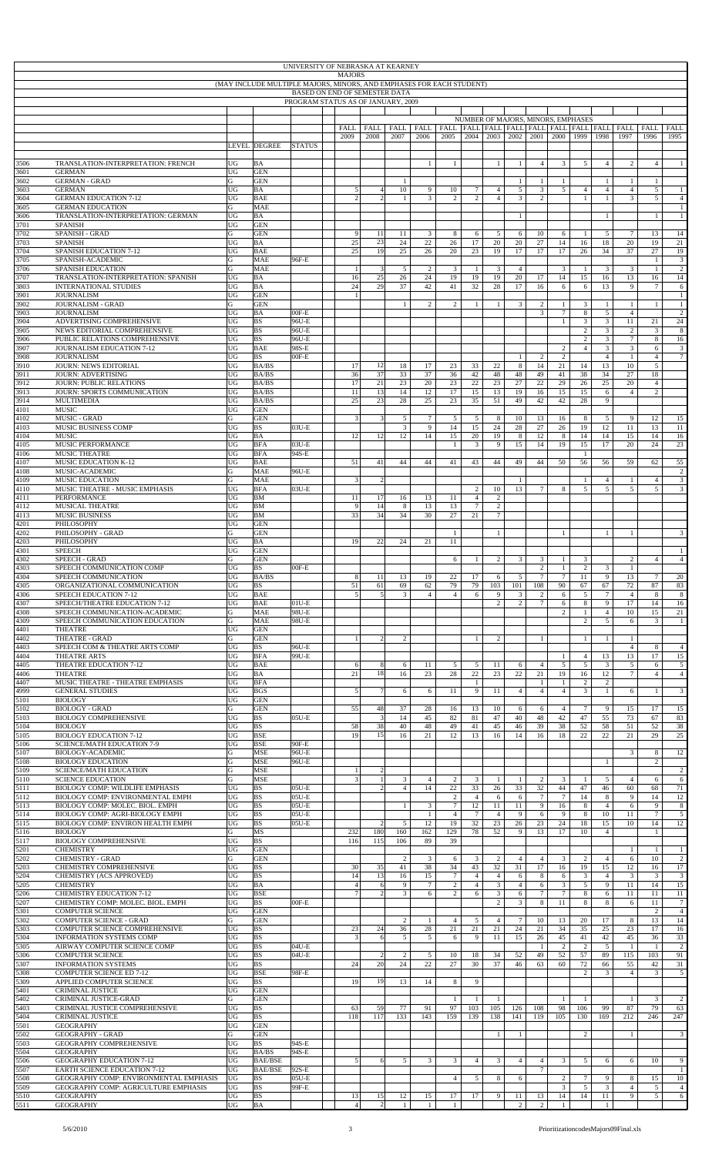|              | UNIVERSITY OF NEBRASKA AT KEARNEY<br><b>MAJORS</b><br>(MAY INCLUDE MULTIPLE MAJORS, MINORS, AND EMPHASES FOR EACH STUDENT)<br><b>BASED ON END OF SEMESTER DATA</b><br>PROGRAM STATUS AS OF JANUARY, 2009 |                   |                                  |                    |  |                                  |                                  |                      |                                |                                  |                      |                      |                     |                                    |                          |                                  |                                           |                                                                      |                                   |                                   |
|--------------|----------------------------------------------------------------------------------------------------------------------------------------------------------------------------------------------------------|-------------------|----------------------------------|--------------------|--|----------------------------------|----------------------------------|----------------------|--------------------------------|----------------------------------|----------------------|----------------------|---------------------|------------------------------------|--------------------------|----------------------------------|-------------------------------------------|----------------------------------------------------------------------|-----------------------------------|-----------------------------------|
|              |                                                                                                                                                                                                          |                   |                                  |                    |  |                                  |                                  |                      |                                |                                  |                      |                      |                     |                                    |                          |                                  |                                           |                                                                      |                                   |                                   |
|              |                                                                                                                                                                                                          |                   |                                  |                    |  |                                  |                                  |                      |                                |                                  |                      |                      |                     |                                    |                          |                                  |                                           |                                                                      |                                   |                                   |
|              |                                                                                                                                                                                                          |                   |                                  |                    |  |                                  |                                  |                      |                                |                                  |                      |                      |                     | NUMBER OF MAJORS, MINORS, EMPHASES |                          |                                  |                                           |                                                                      |                                   |                                   |
|              |                                                                                                                                                                                                          |                   |                                  |                    |  | FALL<br>2009                     | FALL<br>2008                     | FALL<br>2007         | FALL<br>2006                   | 2005                             | 2004                 | 2003                 |                     | 2002 2001                          | 2000                     | 1999                             | 1998                                      | FALL   FALL   FALL   FALL   FALL   FALL   FALL   FALL   FALL<br>1997 | FALL<br>1996                      | FALL<br>1995                      |
|              |                                                                                                                                                                                                          |                   | <b>LEVEL DEGREE</b>              | <b>STATUS</b>      |  |                                  |                                  |                      |                                |                                  |                      |                      |                     |                                    |                          |                                  |                                           |                                                                      |                                   |                                   |
| 3506         | TRANSLATION-INTERPRETATION: FRENCH                                                                                                                                                                       | UG                | BA                               |                    |  |                                  |                                  |                      | $\mathbf{1}$                   | $\mathbf{1}$                     |                      | 1                    | $\mathbf{1}$        | $\overline{4}$                     | $\mathfrak{Z}$           | 5                                | $\overline{4}$                            | 2                                                                    | $\overline{4}$                    | -1                                |
| 3601         | <b>GERMAN</b>                                                                                                                                                                                            | UG                | <b>GEN</b>                       |                    |  |                                  |                                  |                      |                                |                                  |                      |                      |                     |                                    |                          |                                  |                                           |                                                                      |                                   |                                   |
| 3602<br>3603 | <b>GERMAN - GRAD</b><br><b>GERMAN</b>                                                                                                                                                                    | G<br>UG           | <b>GEN</b><br>BA                 |                    |  | 5                                | $\overline{4}$                   | $\mathbf{1}$<br>10   | 9                              | 10                               | $\tau$               | $\overline{4}$       | -1<br>5             | $\mathbf{1}$<br>3                  | $\mathbf{1}$<br>5        | $\overline{4}$                   | $\mathbf{1}$<br>$\overline{4}$            | $\mathbf{1}$<br>$\overline{4}$                                       | $\mathbf{1}$<br>5                 | $\mathbf{1}$                      |
| 3604         | <b>GERMAN EDUCATION 7-12</b>                                                                                                                                                                             | UG                | <b>BAE</b>                       |                    |  | $\overline{c}$                   | 2 <sup>1</sup>                   | 1                    | $\mathfrak{Z}$                 | $\overline{c}$                   | $\overline{c}$       | $\overline{4}$       | 3                   | $\overline{c}$                     |                          | $\mathbf{1}$                     | $\mathbf{1}$                              | $\mathfrak{Z}$                                                       | 5                                 | $\overline{4}$                    |
| 3605<br>3606 | <b>GERMAN EDUCATION</b><br>TRANSLATION-INTERPRETATION: GERMAN                                                                                                                                            | G<br>UG           | <b>MAE</b><br>BA                 |                    |  |                                  |                                  |                      |                                |                                  |                      |                      | $\mathbf{1}$        |                                    |                          |                                  | $\mathbf{1}$                              |                                                                      | $\mathbf{1}$                      | $\mathbf{1}$<br>$\mathbf{1}$      |
| 3701         | <b>SPANISH</b>                                                                                                                                                                                           | UG                | <b>GEN</b>                       |                    |  |                                  |                                  |                      |                                |                                  |                      |                      |                     |                                    |                          |                                  |                                           |                                                                      |                                   |                                   |
| 3702<br>3703 | SPANISH - GRAD<br>SPANISH                                                                                                                                                                                | G<br>UG           | <b>GEN</b><br>BA                 |                    |  | 9<br>25                          | 11<br>23                         | 11<br>24             | $\mathfrak{Z}$<br>22           | 8<br>26                          | 6<br>17              | 5<br>20              | 6<br>20             | 10<br>27                           | 6<br>14                  | -1<br>16                         | $\sqrt{5}$<br>18                          | $\tau$<br>20                                                         | 13<br>19                          | 14<br>21                          |
| 3704         | SPANISH EDUCATION 7-12                                                                                                                                                                                   | UG                | <b>BAE</b>                       |                    |  | 25                               | 19                               | 25                   | 26                             | 20                               | 23                   | 19                   | 17                  | 17                                 | 17                       | 26                               | 34                                        | 37                                                                   | 27                                | 19                                |
| 3705<br>3706 | SPANISH-ACADEMIC<br>SPANISH EDUCATION                                                                                                                                                                    | G<br>G            | <b>MAE</b><br><b>MAE</b>         | 96F-E              |  | $\mathbf{1}$                     | 3                                | 5                    | $\overline{c}$                 | 3                                | $\mathbf{1}$         | 3                    | $\overline{4}$      |                                    | 3                        | $\mathbf{1}$                     | 3                                         | 3                                                                    | $\mathbf{1}$<br>$\mathbf{1}$      | $\mathbf{3}$<br>$\overline{c}$    |
| 3707         | TRANSLATION-INTERPRETATION: SPANISH                                                                                                                                                                      | UG                | BA                               |                    |  | 16                               | 25                               | 26                   | 24                             | 19                               | 19                   | 19                   | 20                  | 17                                 | 14                       | 15                               | 16                                        | 13                                                                   | 16                                | 14                                |
| 3803<br>3901 | <b>INTERNATIONAL STUDIES</b><br><b>JOURNALISM</b>                                                                                                                                                        | UG<br>UG          | BA<br><b>GEN</b>                 |                    |  | 24<br>$\mathbf{1}$               | 29                               | 37                   | 42                             | 41                               | 32                   | 28                   | 17                  | 16                                 | 6                        | 6                                | 13                                        | 9                                                                    | $7\phantom{.0}$                   | 6<br>$\mathbf{1}$                 |
| 3902         | JOURNALISM - GRAD                                                                                                                                                                                        | G                 | <b>GEN</b>                       |                    |  |                                  |                                  | $\mathbf{1}$         | $\overline{2}$                 | $\overline{c}$                   | $\mathbf{1}$         |                      | $\overline{3}$      | $\overline{c}$                     | $\mathbf{1}$             | 3                                | $\mathbf{1}$                              | 1                                                                    | -1                                | $\mathbf{1}$                      |
| 3903<br>3904 | <b>JOURNALISM</b><br>ADVERTISING COMPREHENSIVE                                                                                                                                                           | UG<br>UG          | BA<br><b>BS</b>                  | $00F-E$<br>96U-E   |  |                                  |                                  |                      |                                |                                  |                      |                      |                     | 3                                  | $\tau$<br>$\mathbf{1}$   | 8<br>3                           | $\mathfrak{S}$<br>$\overline{\mathbf{3}}$ | $\overline{4}$<br>11                                                 | 21                                | $\overline{c}$<br>24              |
| 3905<br>3906 | NEWS EDITORIAL COMPREHENSIVE<br>PUBLIC RELATIONS COMPREHENSIVE                                                                                                                                           | UG<br>UG          | <b>BS</b><br><b>BS</b>           | 96U-E<br>96U-E     |  |                                  |                                  |                      |                                |                                  |                      |                      |                     |                                    |                          | $\overline{2}$<br>$\overline{2}$ | $\mathfrak{Z}$<br>$\mathfrak{Z}$          | $\overline{c}$<br>$\tau$                                             | 3<br>8                            | 8<br>16                           |
| 3907         | JOURNALISM EDUCATION 7-12                                                                                                                                                                                | UG                | <b>BAE</b>                       | 98S-E              |  |                                  |                                  |                      |                                |                                  |                      |                      |                     |                                    | 2                        | $\overline{4}$                   | $\mathfrak{Z}$                            | $\mathbf{3}$                                                         | 6                                 | 3                                 |
| 3908<br>3910 | <b>JOURNALISM</b><br>JOURN: NEWS EDITORIAL                                                                                                                                                               | UG<br>UG          | <b>BS</b><br><b>BA/BS</b>        | $00F-E$            |  | 17                               | 12                               | 18                   | 17                             | 23                               | 33                   | 22                   | $\mathbf{1}$<br>8   | $\overline{c}$<br>14               | $\overline{c}$<br>21     | 14                               | $\overline{4}$<br>13                      | $\mathbf{1}$<br>10                                                   | $\overline{4}$<br>$5\overline{5}$ | $\tau$                            |
| 3911         | <b>JOURN: ADVERTISING</b>                                                                                                                                                                                | UG                | <b>BA/BS</b>                     |                    |  | 36                               | 37                               | 33                   | 37                             | 36                               | 42                   | 48                   | 48                  | 49                                 | 41                       | 38                               | 34                                        | 27                                                                   | 18                                |                                   |
| 3912<br>3913 | <b>JOURN: PUBLIC RELATIONS</b><br>JOURN: SPORTS COMMUNICATION                                                                                                                                            | UG<br>UG          | <b>BA/BS</b><br><b>BA/BS</b>     |                    |  | 17<br>11                         | 21<br>13                         | 23<br>14             | 20<br>12                       | 23<br>17                         | 22<br>15             | 23<br>13             | 27<br>19            | 22<br>16                           | 29<br>15                 | 26<br>15                         | 25<br>6                                   | 20<br>$\overline{4}$                                                 | $\overline{4}$<br>$\overline{c}$  |                                   |
| 3914         | <b>MULTIMEDIA</b>                                                                                                                                                                                        | UG                | <b>BA/BS</b>                     |                    |  | 25                               | 23                               | 28                   | 25                             | 23                               | 35                   | 51                   | 49                  | 42                                 | 42                       | 28                               | 9                                         |                                                                      |                                   |                                   |
| 4101<br>4102 | MUSIC<br><b>MUSIC - GRAD</b>                                                                                                                                                                             | UG<br>G           | <b>GEN</b><br><b>GEN</b>         |                    |  | 3                                | $\overline{\mathbf{3}}$          | 5                    | $7\phantom{.0}$                | 5                                | 5                    | 8                    | 10                  | 13                                 | 16                       | 8                                | $\mathfrak{S}$                            | 9                                                                    | 12                                | 15                                |
| 4103         | MUSIC BUSINESS COMP                                                                                                                                                                                      | UG                | <b>BS</b>                        | 03U-E              |  |                                  |                                  | 3                    | 9                              | 14                               | 15                   | 24                   | 28                  | 27                                 | 26                       | 19                               | 12                                        | 11                                                                   | 13                                | 11                                |
| 4104<br>4105 | <b>MUSIC</b><br>MUSIC PERFORMANCE                                                                                                                                                                        | UG<br>UG          | BA<br><b>BFA</b>                 | 03U-E              |  | 12                               | 12                               | 12                   | 14                             | 15<br>$\mathbf{1}$               | 20<br>$\overline{3}$ | 19<br>9              | 8<br>15             | 12<br>14                           | 8<br>19                  | 14<br>15                         | 14<br>17                                  | 15<br>20                                                             | 14<br>24                          | 16<br>23                          |
| 4106         | <b>MUSIC THEATRE</b>                                                                                                                                                                                     | UG                | <b>BFA</b>                       | 94S-E              |  |                                  |                                  |                      |                                |                                  |                      |                      |                     |                                    |                          | 1                                |                                           |                                                                      |                                   |                                   |
| 4107<br>4108 | <b>MUSIC EDUCATION K-12</b><br>MUSIC-ACADEMIC                                                                                                                                                            | UG<br>G           | <b>BAE</b><br><b>MAE</b>         | 96U-E              |  | 51                               | 41                               | 44                   | 44                             | 41                               | 43                   | 44                   | 49                  | 44                                 | 50                       | 56                               | 56                                        | 59                                                                   | 62                                | 55<br>2                           |
| 4109         | <b>MUSIC EDUCATION</b>                                                                                                                                                                                   | G                 | <b>MAE</b>                       |                    |  | 3                                | 2 <sup>1</sup>                   |                      |                                |                                  |                      |                      | $\mathbf{1}$        |                                    |                          | $\mathbf{1}$                     | $\overline{4}$                            | $\mathbf{1}$                                                         | $\overline{4}$                    | 3                                 |
| 4110<br>4111 | MUSIC THEATRE - MUSIC EMPHASIS<br>PERFORMANCE                                                                                                                                                            | UG<br>UG          | <b>BFA</b><br><b>BM</b>          | 03U-E              |  | 11                               | 17                               | 16                   | 13                             | 11                               | 2<br>$\overline{4}$  | 10<br>$\overline{c}$ | 13                  | $\tau$                             | 8                        | 5                                | 5                                         | 5                                                                    | 5                                 | 3                                 |
| 4112         | MUSICAL THEATRE                                                                                                                                                                                          | UG                | <b>BM</b>                        |                    |  | 9                                | 14                               | 8                    | 13                             | 13                               | $\tau$               | $\overline{c}$       |                     |                                    |                          |                                  |                                           |                                                                      |                                   |                                   |
| 4113<br>4201 | <b>MUSIC BUSINESS</b><br>PHILOSOPHY                                                                                                                                                                      | <b>UG</b><br>UG   | <b>BM</b><br><b>GEN</b>          |                    |  | 33                               | 34                               | 34                   | 30                             | 27                               | 21                   | $\tau$               |                     |                                    |                          |                                  |                                           |                                                                      |                                   |                                   |
| 4202         | PHILOSOPHY - GRAD                                                                                                                                                                                        | G                 | <b>GEN</b>                       |                    |  |                                  |                                  |                      |                                | $\mathbf{1}$                     |                      | 1                    |                     |                                    | $\mathbf{1}$             |                                  | $\mathbf{1}$                              | $\mathbf{1}$                                                         |                                   | 3                                 |
| 4203<br>4301 | PHILOSOPHY<br><b>SPEECH</b>                                                                                                                                                                              | UG<br>UG          | BA<br><b>GEN</b>                 |                    |  | 19                               | 22                               | 24                   | 21                             | 11                               |                      |                      |                     |                                    |                          |                                  |                                           |                                                                      |                                   | $\mathbf{1}$                      |
| 4302         | SPEECH - GRAD                                                                                                                                                                                            | G                 | <b>GEN</b>                       |                    |  |                                  |                                  |                      |                                | 6                                | $\mathbf{1}$         | 2                    | 3                   | 3                                  | $\mathbf{1}$             | 3                                |                                           | 2                                                                    | $\overline{4}$                    | $\overline{4}$                    |
| 4303<br>4304 | SPEECH COMMUNICATION COMP<br>SPEECH COMMUNICATION                                                                                                                                                        | UG<br>UG          | <b>BS</b><br>BA/BS               | $00F-E$            |  |                                  | 11                               | 13                   | 19                             | 22                               | 17                   | 6                    | 5                   | $\overline{2}$<br>$7\phantom{.0}$  | $\mathbf{1}$<br>$\tau$   | $\overline{c}$<br>11             | $\mathbf{3}$<br>9                         | $\mathbf{1}$<br>13                                                   | $\tau$                            | 20                                |
| 4305         | ORGANIZATIONAL COMMUNICATION                                                                                                                                                                             | UG                | <b>BS</b>                        |                    |  | 51                               | 61                               | 69                   | 62                             | 79                               | 79                   | 103                  | 101                 | 108                                | 90                       | 67                               | 67                                        | 72                                                                   | 87                                | 83                                |
| 4306<br>4307 | SPEECH EDUCATION 7-12<br>SPEECH/THEATRE EDUCATION 7-12                                                                                                                                                   | UG<br><b>UG</b>   | <b>BAE</b><br><b>BAE</b>         | $01U-E$            |  | 5                                | 5                                | 3                    | $\overline{4}$                 | 4                                | 6                    | 9<br>$\overline{c}$  | 3<br>2              | $\overline{c}$<br>$7\phantom{.0}$  | 6<br>6                   | 5<br>$\,$ 8 $\,$                 | $\tau$<br>9                               | $\overline{4}$<br>17                                                 | 8<br>14                           | 8<br>16                           |
| 4308         | SPEECH COMMUNICATION-ACADEMIC                                                                                                                                                                            | G                 | <b>MAE</b>                       | 98U-E              |  |                                  |                                  |                      |                                |                                  |                      |                      |                     |                                    | $\overline{c}$           | $\mathbf{1}$                     | $\overline{4}$                            | 10                                                                   | 15                                | 21                                |
| 4309<br>4401 | SPEECH COMMUNICATION EDUCATION<br><b>THEATRE</b>                                                                                                                                                         | G<br>UG           | <b>MAE</b><br><b>GEN</b>         | 98U-E              |  |                                  |                                  |                      |                                |                                  |                      |                      |                     |                                    |                          | 2                                | $\mathfrak{S}$                            | 6                                                                    | $\mathfrak{Z}$                    | $\mathbf{1}$                      |
| 4402         | <b>THEATRE - GRAD</b>                                                                                                                                                                                    | G                 | <b>GEN</b>                       |                    |  |                                  | $\overline{2}$                   | $\overline{c}$       |                                |                                  | $\mathbf{1}$         | $\mathbf{2}$         |                     | $\mathbf{1}$                       |                          | $\mathbf{1}$                     | $\mathbf{1}$                              | $\mathbf{1}$                                                         |                                   |                                   |
| 4403<br>4404 | SPEECH COM & THEATRE ARTS COMP<br>THEATRE ARTS                                                                                                                                                           | UG<br>UG          | <b>BS</b><br><b>BFA</b>          | 96U-E<br>99U-E     |  |                                  |                                  |                      |                                |                                  |                      |                      |                     |                                    | $\mathbf{1}$             | $\overline{4}$                   | 13                                        | $\overline{4}$<br>13                                                 | 8<br>17                           | $\overline{4}$<br>15              |
| 4405         | THEATRE EDUCATION 7-12                                                                                                                                                                                   | UG                | <b>BAE</b>                       |                    |  | 6                                | 8                                | 6                    | 11                             | 5                                | 5                    | 11                   | 6                   | $\overline{4}$                     | 5                        | 5                                | 3                                         | 5                                                                    | 6                                 | 5                                 |
| 4406<br>4407 | <b>THEATRE</b><br>MUSIC THEATRE - THEATRE EMPHASIS                                                                                                                                                       | UG<br>UG          | BA<br><b>BFA</b>                 |                    |  | 21                               | 18                               | 16                   | 23                             | 28                               | $22\,$<br>-1         | 23                   | 22                  | 21<br>1                            | 19<br>$\mathbf{1}$       | 16<br>$\overline{c}$             | 12<br>$\overline{2}$                      | $\tau$                                                               | $\overline{4}$                    | $\overline{4}$                    |
| 4999         | <b>GENERAL STUDIES</b>                                                                                                                                                                                   | UG                | <b>BGS</b>                       |                    |  | 5                                |                                  | 6                    | 6                              | 11                               | 9                    | 11                   | $\overline{4}$      | $\overline{4}$                     | $\overline{4}$           | 3                                | $\mathbf{1}$                              | 6                                                                    | $\mathbf{1}$                      | $\overline{3}$                    |
| 5101<br>5102 | <b>BIOLOGY</b><br><b>BIOLOGY - GRAD</b>                                                                                                                                                                  | UG<br>G           | <b>GEN</b><br><b>GEN</b>         |                    |  | 55                               | 48                               | 37                   | 28                             | 16                               | 13                   | 10                   | 6                   | 6                                  | $\overline{4}$           | 7                                | 9                                         | 15                                                                   | 17                                | 15                                |
| 5103         | <b>BIOLOGY COMPREHENSIVE</b>                                                                                                                                                                             | UG                | <b>BS</b>                        | $05U-E$            |  |                                  | 3                                | 14                   | 45                             | 82                               | 81                   | 47                   | 40                  | 48                                 | 42                       | 47                               | 55                                        | 73                                                                   | 67                                | 83                                |
| 5104<br>5105 | <b>BIOLOGY</b><br><b>BIOLOGY EDUCATION 7-12</b>                                                                                                                                                          | UG<br><b>UG</b>   | <b>BS</b><br><b>BSE</b>          |                    |  | 58<br>19                         | 38<br>15                         | 40<br>16             | 48<br>21                       | 49<br>12                         | 41<br>13             | 45<br>16             | 46<br>14            | 39<br>16                           | 38<br>18                 | 52<br>22                         | 58<br>22                                  | 51<br>21                                                             | 52<br>29                          | 38<br>25                          |
| 5106         | <b>SCIENCE/MATH EDUCATION 7-9</b>                                                                                                                                                                        | UG                | <b>BSE</b>                       | 90F-E              |  |                                  |                                  |                      |                                |                                  |                      |                      |                     |                                    |                          |                                  |                                           |                                                                      |                                   |                                   |
| 5107<br>5108 | <b>BIOLOGY-ACADEMIC</b><br><b>BIOLOGY EDUCATION</b>                                                                                                                                                      | G<br>G            | <b>MSE</b><br><b>MSE</b>         | 96U-E<br>96U-E     |  |                                  |                                  |                      |                                |                                  |                      |                      |                     |                                    |                          |                                  | $\mathbf{1}$                              | $\mathfrak{Z}$                                                       | 8<br>2                            | 12                                |
| 5109         | SCIENCE/MATH EDUCATION                                                                                                                                                                                   | G                 | <b>MSE</b>                       |                    |  |                                  | 2                                |                      |                                |                                  |                      |                      |                     |                                    |                          |                                  |                                           |                                                                      |                                   | $\overline{c}$                    |
| 5110<br>5111 | <b>SCIENCE EDUCATION</b><br>BIOLOGY COMP: WILDLIFE EMPHASIS                                                                                                                                              | G<br>UG           | <b>MSE</b><br><b>BS</b>          | $05U-E$            |  | 3                                | 1 <sup>1</sup><br>$\overline{2}$ | 3<br>$\overline{4}$  | $\overline{4}$<br>14           | 2<br>22                          | 3<br>33              | 26                   | $\mathbf{1}$<br>33  | $\overline{c}$<br>32               | 3<br>44                  | $\overline{1}$<br>47             | $\overline{5}$<br>46                      | $\overline{4}$<br>60                                                 | 6<br>68                           | 6<br>71                           |
| 5112         | BIOLOGY COMP: ENVIRONMENTAL EMPH                                                                                                                                                                         | UG                | <b>BS</b>                        | $05U-E$            |  |                                  |                                  |                      |                                | $\overline{c}$                   | $\overline{4}$       | 6                    | 6                   | $\tau$                             | $\tau$                   | 14                               | 8                                         | 9                                                                    | 14                                | 12                                |
| 5113<br>5114 | BIOLOGY COMP: MOLEC. BIOL. EMPH<br>BIOLOGY COMP: AGRI-BIOLOGY EMPH                                                                                                                                       | UG<br>UG          | <b>BS</b><br><b>BS</b>           | $05U-E$<br>$05U-E$ |  |                                  |                                  | 1                    | $\mathfrak{Z}$<br>$\mathbf{1}$ | $\tau$<br>$\overline{4}$         | 12<br>$\tau$         | 11<br>$\overline{4}$ | 11<br>9             | 9<br>6                             | 16<br>9                  | 8<br>8                           | $\overline{4}$<br>10                      | 6<br>11                                                              | 9<br>$\tau$                       | 8<br>5                            |
| 5115         | BIOLOGY COMP: ENVIRON HEALTH EMPH                                                                                                                                                                        | UG                | <b>BS</b>                        | $05U-E$            |  |                                  | $\overline{2}$                   | 5                    | 12                             | 19                               | 32                   | 23                   | 26                  | 23                                 | 24                       | 18                               | 15                                        | 10                                                                   | 14                                | 12                                |
| 5116<br>5117 | <b>BIOLOGY</b><br><b>BIOLOGY COMPREHENSIVE</b>                                                                                                                                                           | G<br>UG           | MS<br><b>BS</b>                  |                    |  | 232<br>116                       | 180<br>115                       | 160<br>106           | 162<br>89                      | 129<br>39                        | 78                   | 52                   | 9                   | 13                                 | 17                       | 10                               | $\overline{4}$                            |                                                                      | -1                                |                                   |
| 5201<br>5202 | <b>CHEMISTRY</b><br>CHEMISTRY - GRAD                                                                                                                                                                     | UG<br>G           | <b>GEN</b><br><b>GEN</b>         |                    |  |                                  |                                  | $\overline{c}$       | $\mathbf{3}$                   |                                  |                      |                      | $\overline{4}$      | $\overline{4}$                     | 3                        | 2                                | $\overline{4}$                            | 1<br>6                                                               | $\mathbf{1}$<br>10                | $\mathbf{1}$<br>$\overline{c}$    |
| 5203         | CHEMISTRY COMPREHENSIVE                                                                                                                                                                                  | UG                | <b>BS</b>                        |                    |  | 30                               | 35                               | 41                   | 38                             | 6<br>34                          | 3<br>43              | $\overline{c}$<br>32 | 31                  | 17                                 | 16                       | 19                               | 15                                        | 12                                                                   | 16                                | 17                                |
| 5204         | CHEMISTRY (ACS APPROVED)                                                                                                                                                                                 | UG                | <b>BS</b>                        |                    |  | 14                               | 13                               | 16                   | 15<br>$7\phantom{.0}$          | $\tau$                           | $\overline{4}$       | 4                    | 6                   | 8                                  | 6                        | $\boldsymbol{\beta}$             | $\overline{4}$<br>9                       | $\mathbf{3}$                                                         | 3                                 | 3                                 |
| 5205<br>5206 | <b>CHEMISTRY</b><br><b>CHEMISTRY EDUCATION 7-12</b>                                                                                                                                                      | UG<br>UG          | <b>BA</b><br><b>BSE</b>          |                    |  | $\overline{4}$<br>$\overline{7}$ | 6<br>$\overline{2}$              | 9<br>3               | 6                              | $\overline{c}$<br>$\overline{c}$ | $\overline{4}$<br>6  | $\mathbf{3}$<br>3    | $\overline{4}$<br>6 | 6<br>$\tau$                        | $\mathfrak{Z}$<br>$\tau$ | 5<br>8                           | $\sqrt{6}$                                | 11<br>11                                                             | 14<br>11                          | 15<br>11                          |
| 5207<br>5301 | CHEMISTRY COMP: MOLEC. BIOL. EMPH<br><b>COMPUTER SCIENCE</b>                                                                                                                                             | UG<br>UG          | <b>BS</b><br><b>GEN</b>          | $00F-E$            |  |                                  |                                  |                      |                                |                                  |                      | $\overline{2}$       | $\overline{3}$      | 8                                  | 11                       | 8                                | $\bf 8$                                   | 6                                                                    | 11<br>2                           | $7\phantom{.0}$<br>$\overline{4}$ |
| 5302         | <b>COMPUTER SCIENCE - GRAD</b>                                                                                                                                                                           | G                 | <b>GEN</b>                       |                    |  |                                  |                                  | $\overline{c}$       | $\mathbf{1}$                   | $\overline{4}$                   | 5                    | $\overline{4}$       | $\tau$              | 10                                 | 13                       | 20                               | 17                                        | 8                                                                    | 13                                | 14                                |
| 5303         | COMPUTER SCIENCE COMPREHENSIVE                                                                                                                                                                           | UG                | <b>BS</b>                        |                    |  | 23<br>3                          | 24                               | 36                   | 28                             | 21                               | 21                   | 21                   | 24                  | 21                                 | 34                       | 35                               | 25                                        | 23                                                                   | 17                                | 16                                |
| 5304<br>5305 | INFORMATION SYSTEMS COMP<br>AIRWAY COMPUTER SCIENCE COMP                                                                                                                                                 | UG<br>UG          | <b>BS</b><br><b>BS</b>           | $04U-E$            |  |                                  | 6                                | 5                    | 5                              | 6                                | 9                    | 11                   | 15                  | 26<br>-1                           | 45<br>$\overline{c}$     | 41<br>$\overline{c}$             | 42<br>$\overline{5}$                      | 45<br>$\mathbf{1}$                                                   | 36<br>-1                          | 33<br>$\overline{c}$              |
| 5306<br>5307 | <b>COMPUTER SCIENCE</b>                                                                                                                                                                                  | UG<br>UG          | <b>BS</b><br><b>BS</b>           | $04U-E$            |  | 24                               | $\overline{2}$<br>20             | $\overline{c}$<br>24 | 5<br>22                        | 10<br>27                         | 18<br>30             | 34<br>37             | 52<br>46            | 49                                 | 52<br>60                 | 57<br>72                         | 89                                        | 115<br>55                                                            | 103<br>42                         | 91<br>31                          |
| 5308         | <b>INFORMATION SYSTEMS</b><br><b>COMPUTER SCIENCE ED 7-12</b>                                                                                                                                            | UG                | <b>BSE</b>                       | 98F-E              |  |                                  |                                  |                      |                                |                                  |                      |                      |                     | 63                                 |                          | 2                                | 66<br>$\mathbf{3}$                        | $\overline{4}$                                                       | $\overline{3}$                    | 5                                 |
| 5309<br>5401 | APPLIED COMPUTER SCIENCE<br><b>CRIMINAL JUSTICE</b>                                                                                                                                                      | UG<br>UG          | <b>BS</b>                        |                    |  | 19                               | 19                               | 13                   | 14                             | 8                                | 9                    |                      |                     |                                    |                          |                                  |                                           |                                                                      |                                   |                                   |
| 5402         | CRIMINAL JUSTICE-GRAD                                                                                                                                                                                    | G                 | <b>GEN</b><br><b>GEN</b>         |                    |  |                                  |                                  |                      |                                | $\mathbf{1}$                     | -1                   |                      |                     |                                    | $\mathbf{1}$             | $\overline{1}$                   |                                           | 1                                                                    | 3                                 | $\overline{c}$                    |
| 5403<br>5404 | CRIMINAL JUSTICE COMPREHENSIVE<br><b>CRIMINAL JUSTICE</b>                                                                                                                                                | UG<br>UG          | <b>BS</b><br><b>BS</b>           |                    |  | 63<br>118                        | 59<br>117                        | 77<br>133            | 91<br>143                      | 97<br>159                        | 103<br>139           | 105<br>138           | 126<br>141          | 108<br>119                         | 98<br>105                | 106<br>130                       | 99<br>169                                 | 87<br>212                                                            | 79<br>246                         | 63<br>247                         |
| 5501         | <b>GEOGRAPHY</b>                                                                                                                                                                                         | UG                | <b>GEN</b>                       |                    |  |                                  |                                  |                      |                                |                                  |                      |                      |                     |                                    |                          |                                  |                                           |                                                                      |                                   |                                   |
| 5502<br>5503 | <b>GEOGRAPHY - GRAD</b><br><b>GEOGRAPHY COMPREHENSIVE</b>                                                                                                                                                | G<br>UG           | <b>GEN</b><br><b>BS</b>          | 94S-E              |  |                                  |                                  |                      |                                |                                  |                      |                      | $\mathbf{1}$        |                                    |                          | $\overline{c}$                   |                                           | $\mathbf{1}$                                                         |                                   | $\mathfrak{Z}$                    |
| 5504         | <b>GEOGRAPHY</b>                                                                                                                                                                                         | UG                | <b>BA/BS</b>                     | 94S-E              |  |                                  |                                  |                      |                                |                                  |                      |                      |                     |                                    |                          |                                  |                                           |                                                                      |                                   |                                   |
| 5506<br>5507 | <b>GEOGRAPHY EDUCATION 7-12</b><br><b>EARTH SCIENCE EDUCATION 7-12</b>                                                                                                                                   | UG<br>UG          | <b>BAE/BSE</b><br><b>BAE/BSE</b> | 92S-E              |  | 5                                | 6                                | 5                    | 3                              | 3                                | $\overline{4}$       | 3                    | $\overline{4}$      | $\overline{4}$<br>$\tau$           | 3                        | 5                                | 6                                         | 6                                                                    | 10                                | 9<br>$\mathbf{1}$                 |
| 5508         | GEOGRAPHY COMP: ENVIRONMENTAL EMPHASIS                                                                                                                                                                   | UG                | <b>BS</b>                        | $05U-E$            |  |                                  |                                  |                      |                                | $\overline{4}$                   | 5                    | 8                    | 6                   |                                    | $\overline{2}$           | $\overline{7}$                   | 9                                         | 8                                                                    | 15                                | 10                                |
| 5509<br>5510 | GEOGRAPHY COMP: AGRICULTURE EMPHASIS<br><b>GEOGRAPHY</b>                                                                                                                                                 | UG<br>$_{\rm UG}$ | <b>BS</b><br><b>BS</b>           | 99F-E              |  | 13                               | 15                               | 12                   | 15                             | 17                               | 17                   | 9                    | 11                  | 13                                 | 3<br>14                  | 5<br>14                          | $\overline{3}$<br>11                      | $\overline{4}$<br>9                                                  | 5<br>5                            | $\overline{4}$<br>6               |
| 5511         | <b>GEOGRAPHY</b>                                                                                                                                                                                         | $_{\rm UG}$       | BA                               |                    |  | $\overline{4}$                   | $\overline{2}$                   | $\mathbf{1}$         | $\mathbf{1}$                   | $\mathbf{1}$                     |                      |                      | $\overline{2}$      | $\overline{c}$                     | $\mathbf{1}$             |                                  | $\mathbf{1}$                              |                                                                      |                                   |                                   |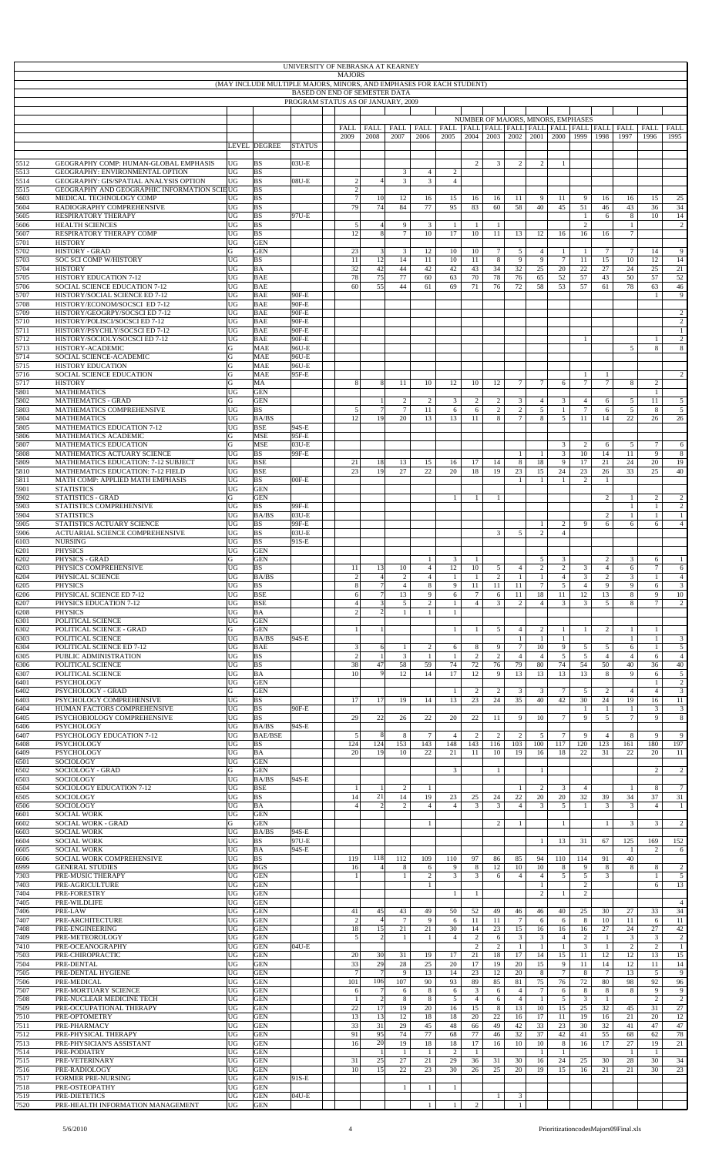| UNIVERSITY OF NEBRASKA AT KEARNEY<br><b>MAJORS</b><br>(MAY INCLUDE MULTIPLE MAJORS, MINORS, AND EMPHASES FOR EACH STUDENT)<br>BASED ON END OF SEMESTER DATA<br>PROGRAM STATUS AS OF JANUARY, 2009 |                                                                                       |                 |                            |                |  |                                  |                      |                      |                                  |                              |                       |                       |                              |                                    |                                  |                                  |                        |                                                                     |                                |                                |
|---------------------------------------------------------------------------------------------------------------------------------------------------------------------------------------------------|---------------------------------------------------------------------------------------|-----------------|----------------------------|----------------|--|----------------------------------|----------------------|----------------------|----------------------------------|------------------------------|-----------------------|-----------------------|------------------------------|------------------------------------|----------------------------------|----------------------------------|------------------------|---------------------------------------------------------------------|--------------------------------|--------------------------------|
|                                                                                                                                                                                                   |                                                                                       |                 |                            |                |  |                                  |                      |                      |                                  |                              |                       |                       |                              |                                    |                                  |                                  |                        |                                                                     |                                |                                |
|                                                                                                                                                                                                   |                                                                                       |                 |                            |                |  |                                  |                      |                      |                                  |                              |                       |                       |                              |                                    |                                  |                                  |                        |                                                                     |                                |                                |
|                                                                                                                                                                                                   |                                                                                       |                 |                            |                |  | FALL                             | FALL                 | <b>FALL</b>          | FALL                             |                              |                       |                       |                              | NUMBER OF MAJORS, MINORS, EMPHASES |                                  |                                  |                        | FALL   FALL   FALL   FALL   FALL   FALL   FALL   FALL   FALL   FALL |                                | FALL                           |
|                                                                                                                                                                                                   |                                                                                       |                 | <b>LEVEL DEGREE</b>        | <b>STATUS</b>  |  | 2009                             | 2008                 | 2007                 | 2006                             | 2005                         | 2004                  | 2003                  | 2002                         | 2001                               | 2000                             | 1999                             | 1998                   | 1997                                                                | 1996                           | 1995                           |
| 5512                                                                                                                                                                                              | GEOGRAPHY COMP: HUMAN-GLOBAL EMPHASIS                                                 | UG              | <b>BS</b>                  | 03U-E          |  |                                  |                      |                      |                                  |                              | $\overline{c}$        | 3                     | 2                            | 2                                  | 1                                |                                  |                        |                                                                     |                                |                                |
| 5513                                                                                                                                                                                              | GEOGRAPHY: ENVIRONMENTAL OPTION                                                       | UG              | <b>BS</b>                  |                |  |                                  |                      | $\mathfrak{Z}$       | $\overline{4}$                   | $\overline{c}$               |                       |                       |                              |                                    |                                  |                                  |                        |                                                                     |                                |                                |
| 5514<br>5515                                                                                                                                                                                      | GEOGRAPHY: GIS/SPATIAL ANALYSIS OPTION<br>GEOGRAPHY AND GEOGRAPHIC INFORMATION SCIEUG | UG              | <b>BS</b><br><b>BS</b>     | $08U-E$        |  | $\sqrt{2}$<br>$\overline{c}$     | 4 <sup>1</sup>       | $\mathbf{3}$         | $\overline{3}$                   | $\overline{4}$               |                       |                       |                              |                                    |                                  |                                  |                        |                                                                     |                                |                                |
| 5603<br>5604                                                                                                                                                                                      | MEDICAL TECHNOLOGY COMP<br>RADIOGRAPHY COMPREHENSIVE                                  | UG<br>UG        | <b>BS</b><br><b>BS</b>     |                |  | $\overline{7}$<br>79             | 10<br>74             | 12<br>84             | 16<br>77                         | 15<br>95                     | 16<br>83              | 16<br>60              | 11<br>58                     | -9<br>40                           | 11<br>45                         | 9<br>51                          | 16<br>46               | 16<br>43                                                            | 15<br>36                       | 25<br>34                       |
| 5605<br>5606                                                                                                                                                                                      | RESPIRATORY THERAPY<br><b>HEALTH SCIENCES</b>                                         | UG<br>UG        | <b>BS</b><br><b>BS</b>     | 97U-E          |  | 5                                | $\overline{4}$       | 9                    | $\mathfrak{Z}$                   | 1                            | $\mathbf{1}$          | -1                    |                              |                                    |                                  | -1<br>$\overline{c}$             | 6                      | 8<br>$\mathbf{1}$                                                   | 10                             | 14<br>$\overline{c}$           |
| 5607<br>5701                                                                                                                                                                                      | RESPIRATORY THERAPY COMP<br><b>HISTORY</b>                                            | UG<br>UG        | <b>BS</b><br><b>GEN</b>    |                |  | 12                               | 8 <sup>1</sup>       | $\tau$               | 10                               | 17                           | 10                    | 11                    | 13                           | 12                                 | 16                               | 16                               | 16                     | $\tau$                                                              |                                |                                |
| 5702<br>5703                                                                                                                                                                                      | <b>HISTORY - GRAD</b><br>SOC SCI COMP W/HISTORY                                       | G<br>UG         | <b>GEN</b><br><b>BS</b>    |                |  | 23<br>11                         | $\sqrt{3}$<br>12     | 3<br>14              | 12<br>$11\,$                     | 10<br>10                     | 10<br>11              | $7\phantom{.0}$<br>8  | 5<br>9                       | $\overline{4}$<br>9                | $\mathbf{1}$<br>$\tau$           | $\mathbf{1}$<br>11               | $7\phantom{.0}$<br>15  | $\tau$<br>10                                                        | 14<br>12                       | 9<br>14                        |
| 5704                                                                                                                                                                                              | <b>HISTORY</b>                                                                        | UG              | BA                         |                |  | 32                               | 42                   | 44                   | 42                               | 42                           | 43                    | 34                    | 32                           | 25                                 | 20                               | 22                               | 27                     | 24                                                                  | 25                             | 21                             |
| 5705<br>5706                                                                                                                                                                                      | <b>HISTORY EDUCATION 7-12</b><br>SOCIAL SCIENCE EDUCATION 7-12                        | UG<br>UG        | <b>BAE</b><br><b>BAE</b>   |                |  | 78<br>60                         | 75<br>55             | 77<br>44             | 60<br>61                         | 63<br>69                     | 70<br>71              | 78<br>76              | 76<br>72                     | 65<br>58                           | 52<br>53                         | 57<br>57                         | 43<br>61               | 50<br>78                                                            | 57<br>63                       | 52<br>46                       |
| 5707<br>5708                                                                                                                                                                                      | HISTORY/SOCIAL SCIENCE ED 7-12<br>HISTORY/ECONOM/SOCSCI ED 7-12                       | UG<br>UG        | <b>BAE</b><br><b>BAE</b>   | 90F-E<br>90F-E |  |                                  |                      |                      |                                  |                              |                       |                       |                              |                                    |                                  |                                  |                        |                                                                     | $\overline{1}$                 | 9                              |
| 5709<br>5710                                                                                                                                                                                      | HISTORY/GEOGRPY/SOCSCI ED 7-12<br>HISTORY/POLISCI/SOCSCI ED 7-12                      | UG<br>UG        | <b>BAE</b><br><b>BAE</b>   | 90F-E<br>90F-E |  |                                  |                      |                      |                                  |                              |                       |                       |                              |                                    |                                  |                                  |                        |                                                                     |                                | $\overline{c}$<br>$\sqrt{2}$   |
| 5711<br>5712                                                                                                                                                                                      | HISTORY/PSYCHLY/SOCSCI ED 7-12<br>HISTORY/SOCIOLY/SOCSCI ED 7-12                      | UG<br>UG        | <b>BAE</b><br><b>BAE</b>   | 90F-E<br>90F-E |  |                                  |                      |                      |                                  |                              |                       |                       |                              |                                    |                                  | -1                               |                        |                                                                     | -1                             | $\,1$<br>$\sqrt{2}$            |
| 5713<br>5714                                                                                                                                                                                      | HISTORY-ACADEMIC<br>SOCIAL SCIENCE-ACADEMIC                                           | G<br>G          | <b>MAE</b><br><b>MAE</b>   | 96U-E<br>96U-E |  |                                  |                      |                      |                                  |                              |                       |                       |                              |                                    |                                  |                                  |                        | 5                                                                   | 8                              | $\bf 8$                        |
| 5715                                                                                                                                                                                              | <b>HISTORY EDUCATION</b>                                                              | ${\bf G}$       | <b>MAE</b>                 | 96U-E          |  |                                  |                      |                      |                                  |                              |                       |                       |                              |                                    |                                  |                                  |                        |                                                                     |                                |                                |
| 5716<br>5717                                                                                                                                                                                      | SOCIAL SCIENCE EDUCATION<br><b>HISTORY</b>                                            | G<br>G          | <b>MAE</b><br>MA           | 95F-E          |  | 8                                | 8                    | 11                   | 10                               | 12                           | 10                    | 12                    | $\tau$                       | 7                                  | 6                                | $\mathbf{1}$<br>$7\phantom{.0}$  | $\mathbf{1}$<br>$\tau$ | 8                                                                   | 2                              | 2                              |
| 5801<br>5802                                                                                                                                                                                      | <b>MATHEMATICS</b><br><b>MATHEMATICS - GRAD</b>                                       | UG<br>G         | <b>GEN</b><br><b>GEN</b>   |                |  |                                  |                      | 2                    | 2                                | 3                            | 2                     | 2                     | 3                            | 4                                  | 3                                | $\overline{4}$                   | 6                      | 5                                                                   | $\mathbf{1}$<br>11             | $\mathfrak{s}$                 |
| 5803<br>5804                                                                                                                                                                                      | MATHEMATICS COMPREHENSIVE<br><b>MATHEMATICS</b>                                       | UG<br>UG        | <b>BS</b><br><b>BA/BS</b>  |                |  | 5<br>12                          | $\tau$<br>19         | $\tau$<br>20         | 11<br>13                         | 6<br>13                      | 6<br>11               | $\overline{c}$<br>8   | $\boldsymbol{2}$<br>$\tau$   | 5<br>8                             | $\mathbf{1}$<br>5                | $\overline{7}$<br>11             | 6<br>14                | 5<br>22                                                             | 8<br>26                        | $\sqrt{5}$<br>26               |
| 5805<br>5806                                                                                                                                                                                      | MATHEMATICS EDUCATION 7-12<br>MATHEMATICS ACADEMIC                                    | UG<br>G         | <b>BSE</b><br><b>MSE</b>   | 94S-E<br>95F-E |  |                                  |                      |                      |                                  |                              |                       |                       |                              |                                    |                                  |                                  |                        |                                                                     |                                |                                |
| 5807<br>5808                                                                                                                                                                                      | MATHEMATICS EDUCATION<br>MATHEMATICS ACTUARY SCIENCE                                  | G<br>UG         | <b>MSE</b><br><b>BS</b>    | 03U-E<br>99F-E |  |                                  |                      |                      |                                  |                              |                       |                       | $\mathbf{1}$                 | $\mathbf{1}$                       | $\mathbf{3}$<br>$\mathfrak{Z}$   | $\overline{c}$<br>10             | 6<br>14                | 5<br>11                                                             | $\tau$<br>9                    | 6<br>$\bf 8$                   |
| 5809                                                                                                                                                                                              | MATHEMATICS EDUCATION: 7-12 SUBJECT                                                   | UG              | <b>BSE</b>                 |                |  | 21                               | 18                   | 13                   | 15                               | 16                           | 17                    | 14                    | 8                            | 18                                 | 9                                | 17                               | 21                     | 24                                                                  | 20                             | 19                             |
| 5810<br>5811                                                                                                                                                                                      | MATHEMATICS EDUCATION: 7-12 FIELD<br>MATH COMP: APPLIED MATH EMPHASIS                 | UG<br>UG        | <b>BSE</b><br><b>BS</b>    | $00F-E$        |  | 23                               | 19                   | 27                   | 22                               | 20                           | 18                    | 19                    | 23<br>$\mathbf{1}$           | 15<br>1                            | 24<br>1                          | 23<br>$\overline{c}$             | 26<br>$\mathbf{1}$     | 33                                                                  | 25                             | 40                             |
| 5901<br>5902                                                                                                                                                                                      | <b>STATISTICS</b><br><b>STATISTICS - GRAD</b>                                         | UG<br>G         | <b>GEN</b><br><b>GEN</b>   |                |  |                                  |                      |                      |                                  | $\mathbf{1}$                 | $\mathbf{1}$          | -1                    |                              |                                    |                                  |                                  | 2                      | $\mathbf{1}$                                                        | 2                              | $\overline{c}$                 |
| 5903<br>5904                                                                                                                                                                                      | STATISTICS COMPREHENSIVE<br><b>STATISTICS</b>                                         | UG<br>UG        | <b>BS</b><br><b>BA/BS</b>  | 99F-E<br>03U-E |  |                                  |                      |                      |                                  |                              |                       |                       |                              |                                    |                                  |                                  | 2                      | 1<br>$\mathbf{1}$                                                   | $\mathbf{1}$<br>$\mathbf{1}$   | $\sqrt{2}$<br>$\mathbf{1}$     |
| 5905<br>5906                                                                                                                                                                                      | STATISTICS ACTUARY SCIENCE<br><b>ACTUARIAL SCIENCE COMPREHENSIVE</b>                  | UG<br>UG        | <b>BS</b><br><b>BS</b>     | 99F-E<br>03U-E |  |                                  |                      |                      |                                  |                              |                       | 3                     | 5                            | $\mathbf{1}$<br>$\mathbf{2}$       | $\overline{c}$<br>$\overline{4}$ | 9                                | 6                      | 6                                                                   | 6                              | $\overline{4}$                 |
| 6103<br>6201                                                                                                                                                                                      | <b>NURSING</b><br><b>PHYSICS</b>                                                      | UG<br>UG        | <b>BS</b><br><b>GEN</b>    | 91S-E          |  |                                  |                      |                      |                                  |                              |                       |                       |                              |                                    |                                  |                                  |                        |                                                                     |                                |                                |
| 6202                                                                                                                                                                                              | PHYSICS - GRAD                                                                        | G               | <b>GEN</b>                 |                |  |                                  | 13                   |                      | $\mathbf{1}$                     | 3                            | 1                     |                       |                              | 5                                  | 3                                |                                  | $\overline{c}$         | 3                                                                   | 6<br>$\tau$                    | 1                              |
| 6203<br>6204                                                                                                                                                                                      | PHYSICS COMPREHENSIVE<br>PHYSICAL SCIENCE                                             | UG<br>UG        | <b>BS</b><br>BA/BS         |                |  | 11                               | $\overline{4}$       | 10<br>2              | $\overline{4}$<br>$\overline{4}$ | 12<br>1                      | 10                    | 5<br>2                | $\overline{4}$<br>1          | $\overline{c}$<br>-1               | $\overline{2}$<br>$\overline{4}$ | 3<br>3                           | $\overline{4}$<br>2    | 6<br>3                                                              | $\mathbf{1}$                   | 6<br>$\overline{4}$            |
| 6205<br>6206                                                                                                                                                                                      | <b>PHYSICS</b><br>PHYSICAL SCIENCE ED 7-12                                            | UG<br>UG        | <b>BS</b><br><b>BSE</b>    |                |  | 8<br>6                           | $\overline{7}$       | $\overline{4}$<br>13 | $\,8\,$<br>9                     | 9<br>6                       | 11<br>$7\phantom{.0}$ | 11<br>6               | 11<br>11                     | $\tau$<br>18                       | 5<br>11                          | $\overline{4}$<br>12             | 9<br>13                | 9<br>8                                                              | 6<br>9                         | $\overline{3}$<br>10           |
| 6207<br>6208                                                                                                                                                                                      | PHYSICS EDUCATION 7-12<br><b>PHYSICS</b>                                              | UG<br>UG        | <b>BSE</b><br>BA           |                |  | $\overline{4}$<br>$\overline{c}$ | 3<br>$\overline{c}$  | 5                    | $\overline{2}$<br>$\mathbf{1}$   | $\mathbf{1}$<br>$\mathbf{1}$ | $\overline{4}$        | 3                     | $\overline{c}$               | $\overline{4}$                     | 3                                | 3                                | 5                      | 8                                                                   | $\overline{7}$                 | $\overline{c}$                 |
| 6301<br>6302                                                                                                                                                                                      | POLITICAL SCIENCE<br>POLITICAL SCIENCE - GRAD                                         | UG<br>G         | <b>GEN</b><br><b>GEN</b>   |                |  | $\mathbf{1}$                     |                      |                      |                                  | 1                            | $\mathbf{1}$          | 5                     | $\overline{4}$               | $\overline{c}$                     | $\mathbf{1}$                     | $\mathbf{1}$                     | $\overline{c}$         | $\mathbf{1}$                                                        | $\mathbf{1}$                   |                                |
| 6303<br>6304                                                                                                                                                                                      | POLITICAL SCIENCE<br>POLITICAL SCIENCE ED 7-12                                        | UG<br>UG        | <b>BA/BS</b><br><b>BAE</b> | 94S-E          |  | $\mathfrak{Z}$                   | 6                    | $\mathbf{1}$         | $\overline{2}$                   | 6                            | $\,$ 8 $\,$           | 9                     | $\mathbf{1}$<br>$\tau$       | -1<br>10                           | $\mathbf{1}$<br>9                | 5                                | 5                      | $\mathbf{1}$<br>6                                                   | $\mathbf{1}$<br>$\mathbf{1}$   | $\mathbf{3}$<br>$\overline{5}$ |
| 6305<br>6306                                                                                                                                                                                      | PUBLIC ADMINISTRATION<br>POLITICAL SCIENCE                                            | UG<br>UG        | <b>BS</b><br><b>BS</b>     |                |  | $\overline{c}$<br>38             | $\overline{1}$<br>47 | 3<br>58              | $\mathbf{1}$<br>59               | 1<br>74                      | 2<br>72               | $\overline{2}$<br>76  | $\overline{4}$<br>79         | $\overline{4}$<br>80               | 5<br>74                          | 5<br>54                          | $\overline{4}$<br>50   | $\overline{4}$<br>40                                                | 6<br>36                        | $\overline{4}$<br>40           |
| 6307<br>6401                                                                                                                                                                                      | POLITICAL SCIENCE<br>PSYCHOLOGY                                                       | UG<br>UG        | BA<br><b>GEN</b>           |                |  | 10                               | 9                    | 12                   | 14                               | 17                           | 12                    | 9                     | 13                           | 13                                 | 13                               | 13                               | 8                      | 9                                                                   | 6                              | $\mathfrak{s}$<br>$\sqrt{2}$   |
| 6402                                                                                                                                                                                              | PSYCHOLOGY - GRAD                                                                     | G               | <b>GEN</b>                 |                |  |                                  |                      |                      |                                  | 1                            | $\overline{c}$        | $\sqrt{2}$            | 3                            | 3                                  | $\tau$                           | 5                                | $\overline{c}$         | $\overline{4}$                                                      | $\mathbf{1}$<br>$\overline{4}$ | $\mathbf{3}$                   |
| 6403<br>6404                                                                                                                                                                                      | PSYCHOLOGY COMPREHENSIVE<br>HUMAN FACTORS COMPREHENSIVE                               | UG<br>UG        | <b>BS</b><br><b>BS</b>     | 90F-E          |  | 17                               | 17                   | 19                   | 14                               | 13                           | 23                    | 24                    | 35                           | 40                                 | 42                               | 30<br>1                          | 24<br>1                | 19<br>$\mathbf{1}$                                                  | 16<br>3                        | 11<br>$\sqrt{3}$               |
| 6405<br>6406                                                                                                                                                                                      | PSYCHOBIOLOGY COMPREHENSIVE<br><b>PSYCHOLOGY</b>                                      | UG<br>UG        | <b>BS</b><br><b>BA/BS</b>  | 94S-E          |  | 29                               | 22                   | 26                   | 22                               | 20                           | 22                    | 11                    | 9                            | 10                                 | $\tau$                           | 9                                | $\mathfrak{S}$         | $7\phantom{.0}$                                                     | 9                              | $\bf 8$                        |
| 6407<br>6408                                                                                                                                                                                      | PSYCHOLOGY EDUCATION 7-12<br><b>PSYCHOLOGY</b>                                        | UG<br>UG        | <b>BAE/BSE</b><br>BS       |                |  | 5<br>124                         | 8<br>124             | 8<br>153             | $\tau$<br>143                    | $\overline{4}$<br>148        | $\overline{c}$<br>143 | $\overline{c}$<br>116 | $\overline{c}$<br>103        | 5<br>100                           | $\tau$<br>117                    | 9<br>120                         | $\overline{4}$<br>123  | 8<br>161                                                            | 9<br>180                       | 9<br>197                       |
| 6409<br>6501                                                                                                                                                                                      | PSYCHOLOGY<br>SOCIOLOGY                                                               | UG<br>UG        | BA<br><b>GEN</b>           |                |  | 20                               | 19                   | 10                   | 22                               | 21                           | 11                    | 10                    | 19                           | 16                                 | 18                               | 22                               | 31                     | 22                                                                  | 20                             | 11                             |
| 6502<br>6503                                                                                                                                                                                      | SOCIOLOGY - GRAD<br>SOCIOLOGY                                                         | G<br>UG         | <b>GEN</b><br><b>BA/BS</b> | 94S-E          |  |                                  |                      |                      |                                  | $\mathbf{3}$                 |                       | 1                     |                              | $\mathbf{1}$                       |                                  |                                  |                        |                                                                     | $\overline{c}$                 | $\overline{c}$                 |
| 6504<br>6505                                                                                                                                                                                      | SOCIOLOGY EDUCATION 7-12<br>SOCIOLOGY                                                 | UG<br>UG        | <b>BSE</b><br><b>BS</b>    |                |  | $\mathbf{1}$<br>14               | 21                   | $\overline{c}$<br>14 | $\mathbf{1}$<br>19               | 23                           | 25                    | 24                    | $\mathbf{1}$<br>22           | 2<br>20                            | 3<br>20                          | $\overline{4}$<br>32             | 39                     | $\mathbf{1}$<br>34                                                  | 8<br>37                        | $\tau$<br>31                   |
| 5506                                                                                                                                                                                              | SOCIOLOGY<br><b>SOCIAL WORK</b>                                                       | UG<br>UG        | BA<br><b>GEN</b>           |                |  | $\overline{4}$                   | $\overline{c}$       | 2                    | $\overline{4}$                   | $\overline{4}$               | 3                     | 3                     | $\overline{4}$               | 3                                  | $\mathfrak{S}$                   | $\mathbf{1}$                     | 3                      | $\mathbf{3}$                                                        | $\overline{4}$                 | $\mathbf{1}$                   |
| 6601<br>6602                                                                                                                                                                                      | <b>SOCIAL WORK - GRAD</b>                                                             | G               | <b>GEN</b>                 |                |  |                                  |                      |                      | $\mathbf{1}$                     |                              |                       | $\overline{2}$        | $\mathbf{1}$                 |                                    | $\mathbf{1}$                     |                                  | -1                     | 3                                                                   | 3                              | $\overline{c}$                 |
| 6603<br>6604                                                                                                                                                                                      | <b>SOCIAL WORK</b><br><b>SOCIAL WORK</b>                                              | UG<br>UG        | <b>BA/BS</b><br><b>BS</b>  | 94S-E<br>97U-E |  |                                  |                      |                      |                                  |                              |                       |                       |                              | $\mathbf{1}$                       | 13                               | 31                               | 67                     | 125                                                                 | 169                            | 152                            |
| 6605<br>6606                                                                                                                                                                                      | <b>SOCIAL WORK</b><br>SOCIAL WORK COMPREHENSIVE                                       | UG<br>UG        | BA<br><b>BS</b>            | 94S-E          |  | 119                              | 118                  | 112                  | 109                              | 110                          | 97                    | 86                    | 85                           | 94                                 | 110                              | 114                              | 91                     | 1<br>40                                                             | $\overline{2}$                 | 6                              |
| 6999<br>7303                                                                                                                                                                                      | <b>GENERAL STUDIES</b><br>PRE-MUSIC THERAPY                                           | UG<br>UG        | <b>BGS</b><br><b>GEN</b>   |                |  | 16<br>1                          | $\overline{4}$       | 8<br>$\mathbf{1}$    | 6<br>$\overline{2}$              | 9<br>$\mathfrak{Z}$          | 8<br>$\overline{3}$   | 12<br>6               | 10<br>$\overline{4}$         | 10<br>$\overline{4}$               | 8<br>5                           | 9<br>$\sqrt{5}$                  | 8<br>$\overline{3}$    | 8                                                                   | 8<br>$\mathbf{1}$              | $\sqrt{2}$<br>$\sqrt{5}$       |
| 7403<br>7404                                                                                                                                                                                      | PRE-AGRICULTURE<br>PRE-FORESTRY                                                       | UG<br>UG        | <b>GEN</b><br><b>GEN</b>   |                |  |                                  |                      |                      | 1                                | $\mathbf{1}$                 | $\mathbf{1}$          |                       |                              | $\mathbf{1}$<br>2                  | 1                                | $\overline{c}$<br>$\overline{c}$ |                        |                                                                     | 6                              | 13                             |
| 405<br>7406                                                                                                                                                                                       | PRE-WILDLIFE<br>PRE-LAW                                                               | UG<br>UG        | <b>GEN</b><br><b>GEN</b>   |                |  | 41                               | 45                   | 43                   | 49                               | 50                           | 52                    | 49                    | 46                           | 46                                 | 40                               | 25                               | 30                     | 27                                                                  | 33                             | $\overline{4}$<br>34           |
| 7407<br>7408                                                                                                                                                                                      | PRE-ARCHITECTURE<br>PRE-ENGINEERING                                                   | UG<br>UG        | <b>GEN</b><br><b>GEN</b>   |                |  | $\overline{c}$<br>18             | $\overline{4}$<br>15 | $\tau$<br>21         | 9<br>21                          | 6<br>30                      | 11<br>14              | 11<br>23              | $\tau$<br>15                 | 6<br>16                            | 6<br>16                          | 8<br>16                          | $10\,$<br>27           | 11<br>24                                                            | 6<br>27                        | 11<br>42                       |
| 7409                                                                                                                                                                                              | PRE-METEOROLOGY                                                                       | UG              | <b>GEN</b>                 |                |  | 5                                | 2                    | -1                   | $\mathbf{1}$                     | $\overline{4}$               | $\overline{c}$        | 6                     | 3                            | $\mathbf{3}$                       | $\overline{4}$                   | 2                                | $\mathbf{1}$           | $\mathbf{3}$                                                        | 3                              | $\sqrt{2}$                     |
| 7410<br>7503                                                                                                                                                                                      | PRE-OCEANOGRAPHY<br>PRE-CHIROPRACTIC                                                  | UG<br>UG        | <b>GEN</b><br><b>GEN</b>   | 04U-E          |  | 20                               | 30                   | 31                   | 19                               | 17                           | $\mathbf{2}$<br>21    | $\overline{c}$<br>18  | $\mathbf{1}$<br>17           | $\mathbf{1}$<br>14                 | $\mathbf{1}$<br>15               | 3<br>11                          | $\mathbf{1}$<br>12     | $\overline{c}$<br>12                                                | $\overline{2}$<br>13           | $\mathbf{1}$<br>15             |
| 7504<br>7505                                                                                                                                                                                      | PRE-DENTAL<br>PRE-DENTAL HYGIENE                                                      | UG<br>UG        | <b>GEN</b><br><b>GEN</b>   |                |  | 33<br>$\overline{7}$             | 29<br>$\overline{7}$ | 28<br>$\overline{9}$ | 25<br>13                         | 20<br>14                     | 17<br>23              | 19<br>12              | 20<br>20                     | 15<br>8                            | 9<br>$\tau$                      | 11<br>8                          | 14<br>$7\phantom{.0}$  | 12<br>13                                                            | 11<br>5                        | 14<br>9                        |
| 7506<br>7507                                                                                                                                                                                      | PRE-MEDICAL<br>PRE-MORTUARY SCIENCE                                                   | UG<br>UG        | <b>GEN</b><br><b>GEN</b>   |                |  | 101<br>6                         | 106                  | 107<br>6             | 90<br>$\,8\,$                    | 93<br>6                      | 89<br>$\overline{3}$  | 85<br>6               | 81<br>$\overline{4}$         | 75<br>$\tau$                       | 76<br>6                          | 72<br>8                          | $80\,$<br>$\bf 8$      | 98<br>8                                                             | 92<br>9                        | 96<br>9                        |
| 7508<br>7509                                                                                                                                                                                      | PRE-NUCLEAR MEDICINE TECH<br>PRE-OCCUPATIONAL THERAPY                                 | UG<br>UG        | <b>GEN</b><br><b>GEN</b>   |                |  | 1<br>22                          | 2<br>17              | 8<br>19              | $\bf 8$<br>20                    | 5<br>16                      | $\overline{4}$<br>15  | 6<br>8                | $\overline{4}$<br>13         | $\mathbf{1}$<br>10                 | $\mathfrak{S}$<br>15             | 3<br>25                          | $\mathbf{1}$<br>32     | 45                                                                  | $\overline{c}$<br>31           | $\overline{c}$<br>27           |
| 7510<br>7511                                                                                                                                                                                      | PRE-OPTOMETRY<br>PRE-PHARMACY                                                         | UG<br>UG        | <b>GEN</b><br><b>GEN</b>   |                |  | 13<br>33                         | 13<br>31             | 12<br>29             | 18<br>45                         | 18<br>48                     | 20<br>66              | 22<br>49              | 16<br>42                     | 17<br>33                           | 11<br>23                         | 19<br>30                         | 16<br>32               | 21<br>41                                                            | 20<br>47                       | 12<br>47                       |
| 7512                                                                                                                                                                                              | PRE-PHYSICAL THERAPY                                                                  | UG              | <b>GEN</b>                 |                |  | 91                               | 95                   | 74                   | 77                               | 68                           | 77                    | 46                    | 32                           | 37                                 | 42                               | 41                               | 55                     | 68                                                                  | 62                             | 78                             |
| 7513<br>7514                                                                                                                                                                                      | PRE-PHYSICIAN'S ASSISTANT<br>PRE-PODIATRY                                             | UG<br>UG        | <b>GEN</b><br><b>GEN</b>   |                |  | 16                               | 20                   | 19<br>$\overline{1}$ | 18<br>$\mathbf{1}$               | 18<br>$\overline{c}$         | 17<br>$\mathbf{1}$    | 16                    | 10                           | 10<br>$\mathbf{1}$                 | 8<br>$\mathbf{1}$                | 16                               | 17                     | 27<br>1                                                             | 19<br>$\mathbf{1}$             | $21\,$                         |
| 7515<br>7516                                                                                                                                                                                      | PRE-VETERINARY<br>PRE-RADIOLOGY                                                       | UG<br>UG        | <b>GEN</b><br><b>GEN</b>   |                |  | 31<br>10                         | 25<br>15             | 27<br>22             | 21<br>23                         | 29<br>30                     | 36<br>26              | 31<br>25              | 30<br>20                     | 16<br>19                           | 24<br>15                         | 25<br>16                         | 30<br>21               | 28<br>21                                                            | 30<br>30                       | 34<br>23                       |
| 7517<br>7518                                                                                                                                                                                      | <b>FORMER PRE-NURSING</b><br>PRE-OSTEOPATHY                                           | UG<br><b>UG</b> | <b>GEN</b><br><b>GEN</b>   | 91S-E          |  |                                  |                      | $\mathbf{1}$         | $\mathbf{1}$                     | $\mathbf{1}$                 |                       |                       |                              |                                    |                                  |                                  |                        |                                                                     |                                |                                |
| 7519<br>7520                                                                                                                                                                                      | PRE-DIETETICS<br>PRE-HEALTH INFORMATION MANAGEMENT                                    | UG<br>UG        | <b>GEN</b><br><b>GEN</b>   | 04U-E          |  |                                  |                      |                      | $\mathbf{1}$                     |                              | $\overline{c}$        | $\mathbf{1}$          | $\mathbf{3}$<br>$\mathbf{1}$ |                                    |                                  |                                  |                        |                                                                     |                                |                                |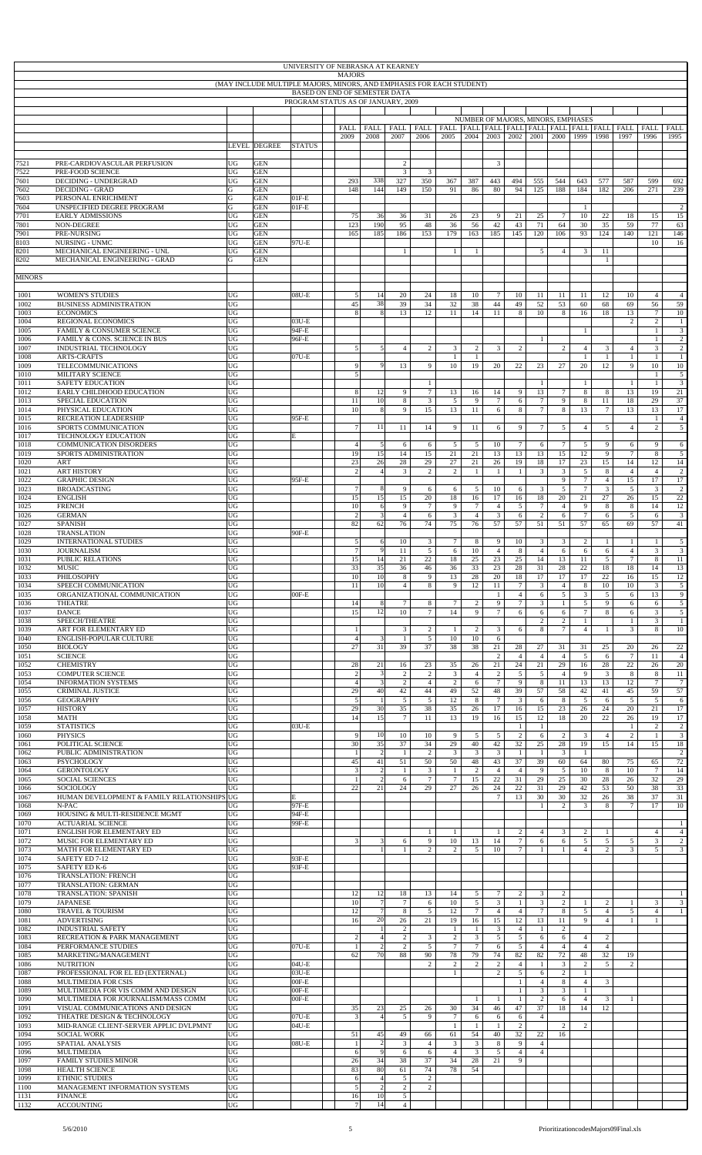|               | UNIVERSITY OF NEBRASKA AT KEARNEY<br><b>MAJORS</b><br>(MAY INCLUDE MULTIPLE MAJORS, MINORS, AND EMPHASES FOR EACH STUDENT)<br>BASED ON END OF SEMESTER DATA |          |                          |                    |  |                      |                                  |                                  |                                  |                                |                                    |                                  |                                  |                                  |                       |                                |                     |                            |                                |                                  |
|---------------|-------------------------------------------------------------------------------------------------------------------------------------------------------------|----------|--------------------------|--------------------|--|----------------------|----------------------------------|----------------------------------|----------------------------------|--------------------------------|------------------------------------|----------------------------------|----------------------------------|----------------------------------|-----------------------|--------------------------------|---------------------|----------------------------|--------------------------------|----------------------------------|
|               | PROGRAM STATUS AS OF JANUARY, 2009                                                                                                                          |          |                          |                    |  |                      |                                  |                                  |                                  |                                |                                    |                                  |                                  |                                  |                       |                                |                     |                            |                                |                                  |
|               |                                                                                                                                                             |          |                          |                    |  |                      |                                  |                                  |                                  |                                |                                    |                                  |                                  |                                  |                       |                                |                     |                            |                                |                                  |
|               |                                                                                                                                                             |          |                          |                    |  |                      |                                  |                                  |                                  |                                | NUMBER OF MAJORS, MINORS, EMPHASES |                                  |                                  |                                  |                       |                                |                     |                            |                                |                                  |
|               |                                                                                                                                                             |          |                          |                    |  | FALL<br>2009         | FALL<br>2008                     | <b>FALL</b><br>2007              | FALL<br>2006                     | 2005                           | 2004                               | 2003                             | 2002                             | 2001                             | 2000                  | 1999                           | 1998                | 1997                       | 1996                           | FALL<br>1995                     |
|               |                                                                                                                                                             |          | <b>LEVEL DEGREE</b>      | <b>STATUS</b>      |  |                      |                                  |                                  |                                  |                                |                                    |                                  |                                  |                                  |                       |                                |                     |                            |                                |                                  |
| 7521          | PRE-CARDIOVASCULAR PERFUSION                                                                                                                                | UG       | <b>GEN</b>               |                    |  |                      |                                  | $\overline{c}$                   |                                  |                                |                                    | 3                                |                                  |                                  |                       |                                |                     |                            |                                |                                  |
| 7522<br>7601  | PRE-FOOD SCIENCE<br><b>DECIDING - UNDERGRAD</b>                                                                                                             | UG<br>UG | <b>GEN</b><br><b>GEN</b> |                    |  | 293                  | 338                              | $\mathbf{3}$<br>327              | 3<br>350                         | 367                            | 387                                | 443                              | 494                              | 555                              | 544                   | 643                            | 577                 | 587                        | 599                            | 692                              |
| 7602<br>7603  | <b>DECIDING - GRAD</b><br>PERSONAL ENRICHMENT                                                                                                               | G<br>G   | <b>GEN</b><br><b>GEN</b> | $01F-E$            |  | 148                  | 144                              | 149                              | 150                              | 91                             | 86                                 | 80                               | 94                               | 125                              | 188                   | 184                            | 182                 | 206                        | 271                            | 239                              |
| '604          | UNSPECIFIED DEGREE PROGRAM                                                                                                                                  | G        | <b>GEN</b>               | $01F-E$            |  |                      |                                  |                                  |                                  |                                |                                    |                                  |                                  |                                  |                       | $\mathbf{1}$                   |                     |                            |                                | 2                                |
| 7701<br>7801  | <b>EARLY ADMISSIONS</b><br>NON-DEGREE                                                                                                                       | UG<br>UG | <b>GEN</b><br><b>GEN</b> |                    |  | 75<br>123            | 36<br>190                        | 36<br>95                         | 31<br>48                         | 26<br>36                       | 23<br>56                           | 9<br>42                          | 21<br>43                         | 25<br>71                         | $7\phantom{.0}$<br>64 | 10<br>30                       | 22<br>35            | 18<br>59                   | 15<br>77                       | 15<br>63                         |
| 7901<br>8103  | PRE-NURSING<br><b>NURSING - UNMC</b>                                                                                                                        | UG<br>UG | <b>GEN</b><br><b>GEN</b> | 97U-E              |  | 165                  | 185                              | 186                              | 153                              | 179                            | 163                                | 185                              | 145                              | 120                              | 106                   | 93                             | 124                 | 140                        | 121<br>10                      | 146<br>16                        |
| 3201<br>8202  | MECHANICAL ENGINEERING - UNL<br>MECHANICAL ENGINEERING - GRAD                                                                                               | UG<br>G  | <b>GEN</b><br><b>GEN</b> |                    |  |                      |                                  | $\mathbf{1}$                     |                                  | 1                              | $\mathbf{1}$                       |                                  |                                  | 5                                | $\overline{4}$        | $\mathfrak{Z}$                 | 11<br>$\mathbf{1}$  |                            |                                |                                  |
|               |                                                                                                                                                             |          |                          |                    |  |                      |                                  |                                  |                                  |                                |                                    |                                  |                                  |                                  |                       |                                |                     |                            |                                |                                  |
| <b>MINORS</b> |                                                                                                                                                             |          |                          |                    |  |                      |                                  |                                  |                                  |                                |                                    |                                  |                                  |                                  |                       |                                |                     |                            |                                |                                  |
| 1001<br>1002  | <b>WOMEN'S STUDIES</b><br><b>BUSINESS ADMINISTRATION</b>                                                                                                    | UG<br>UG |                          | $08U-E$            |  | 5<br>45              | 14<br>38                         | 20<br>39                         | 24<br>34                         | 18<br>32                       | 10<br>38                           | $\tau$<br>44                     | 10<br>49                         | 11<br>52                         | 11<br>53              | 11<br>60                       | 12<br>68            | 10<br>69                   | $\overline{4}$<br>56           | $\overline{4}$<br>59             |
| 1003          | <b>ECONOMICS</b>                                                                                                                                            | UG       |                          |                    |  | $\mathbf{R}$         | 8                                | 13                               | 12                               | 11                             | 14                                 | 11                               | 8                                | 10                               | 8                     | 16                             | 18                  | 13<br>2                    | $\tau$                         | 10                               |
| 1004<br>1005  | <b>REGIONAL ECONOMICS</b><br>FAMILY & CONSUMER SCIENCE                                                                                                      | UG<br>UG |                          | 03U-E<br>94F-E     |  |                      |                                  |                                  |                                  |                                |                                    |                                  |                                  |                                  |                       | $\mathbf{1}$                   |                     |                            | $\overline{c}$<br>$\mathbf{1}$ | $\mathbf{1}$<br>$\mathfrak{Z}$   |
| 1006<br>1007  | FAMILY & CONS. SCIENCE IN BUS<br>INDUSTRIAL TECHNOLOGY                                                                                                      | UG<br>UG |                          | 96F-E              |  | 5                    | 5 <sub>l</sub>                   | $\overline{4}$                   | $\overline{c}$                   | $\mathfrak{Z}$                 | $\overline{2}$                     | 3                                | $\overline{c}$                   | $\overline{1}$                   | $\overline{c}$        | $\overline{4}$                 | 3                   | $\overline{4}$             | $\mathbf{1}$<br>3              | $\overline{c}$<br>2              |
| 1008<br>1009  | <b>ARTS-CRAFTS</b><br><b>TELECOMMUNICATIONS</b>                                                                                                             | UG<br>UG |                          | 07U-E              |  | 9                    | 9                                | 13                               | 9                                | $\mathbf{1}$<br>10             | $\mathbf{1}$<br>19                 | 20                               | 22                               | 23                               | 27                    | $\mathbf{1}$<br>20             | $\mathbf{1}$<br>12  | $\mathbf{1}$<br>9          | $\mathbf{1}$<br>10             | $\mathbf{1}$<br>$10\,$           |
| 1010          | MILITARY SCIENCE                                                                                                                                            | UG       |                          |                    |  | 5 <sup>1</sup>       |                                  |                                  |                                  |                                |                                    |                                  |                                  |                                  |                       |                                |                     |                            | $\mathbf{1}$                   | 5                                |
| 1011<br>1012  | <b>SAFETY EDUCATION</b><br>EARLY CHILDHOOD EDUCATION                                                                                                        | UG<br>UG |                          |                    |  | 8                    | 12                               | 9                                | $\mathbf{1}$<br>$\tau$           | 13                             | 16                                 | 14                               | 9                                | 1<br>13                          | $\overline{7}$        | $\mathbf{1}$<br>8              | 8                   | 1<br>13                    | $\mathbf{1}$<br>19             | $\overline{\mathbf{3}}$<br>21    |
| 1013<br>1014  | SPECIAL EDUCATION<br>PHYSICAL EDUCATION                                                                                                                     | UG<br>UG |                          |                    |  | 11<br>10             | 10<br>8                          | 8<br>9                           | 3<br>15                          | 5<br>13                        | 9<br>11                            | $\tau$<br>6                      | 6<br>8                           | $7\phantom{.0}$<br>$\tau$        | 9<br>8                | 8<br>13                        | 11<br>$\tau$        | 18<br>13                   | 29<br>13                       | 37<br>17                         |
| 1015<br>1016  | RECREATION LEADERSHIP<br>SPORTS COMMUNICATION                                                                                                               | UG<br>UG |                          | 95F-E              |  | $\overline{7}$       | 11                               | 11                               | 14                               | 9                              | 11                                 | 6                                | 9                                | $\tau$                           | 5                     | $\overline{4}$                 | $\sqrt{5}$          | $\overline{4}$             | $\mathbf{1}$<br>$\overline{c}$ | $\overline{4}$<br>5              |
| 1017          | TECHNOLOGY EDUCATION                                                                                                                                        | UG       |                          | E                  |  |                      |                                  |                                  |                                  |                                |                                    |                                  |                                  |                                  |                       |                                |                     |                            |                                |                                  |
| 1018<br>1019  | <b>COMMUNICATION DISORDERS</b><br>SPORTS ADMINISTRATION                                                                                                     | UG<br>UG |                          |                    |  | $\overline{4}$<br>19 | 5<br>15                          | 6<br>14                          | 6<br>15                          | $5\overline{5}$<br>21          | 5<br>21                            | 10<br>13                         | $\tau$<br>13                     | 6<br>13                          | $7\phantom{.0}$<br>15 | 5<br>12                        | 9<br>9              | 6<br>$\tau$                | 9<br>8                         | 6<br>$5\overline{)}$             |
| 1020<br>1021  | ART<br><b>ART HISTORY</b>                                                                                                                                   | UG<br>UG |                          |                    |  | 23<br>$\overline{2}$ | 26<br>$\overline{4}$             | 28<br>3                          | 29<br>$\overline{c}$             | 27<br>$\overline{c}$           | 21<br>$\mathbf{1}$                 | 26<br>$\mathbf{1}$               | 19<br>$\mathbf{1}$               | 18<br>3                          | 17<br>3               | 23<br>5                        | 15<br>8             | 14<br>$\overline{4}$       | 12<br>$\overline{4}$           | 14<br>$\overline{c}$             |
| 1022<br>1023  | <b>GRAPHIC DESIGN</b><br><b>BROADCASTING</b>                                                                                                                | UG<br>UG |                          | 95F-E              |  | $\overline{7}$       | 8                                | 9                                | 6                                | 6                              | 5                                  | 10                               | 6                                | 3                                | 9<br>5                | $\tau$<br>$\tau$               | $\overline{4}$<br>3 | 15<br>5                    | 17<br>3                        | 17<br>2                          |
| 1024          | <b>ENGLISH</b>                                                                                                                                              | UG       |                          |                    |  | 15                   | 15                               | 15                               | 20                               | 18                             | 16                                 | 17                               | 16                               | 18                               | 20                    | 21                             | 27                  | 26                         | 15                             | $22\,$                           |
| 1025<br>1026  | <b>FRENCH</b><br><b>GERMAN</b>                                                                                                                              | UG<br>UG |                          |                    |  | 10<br>$\overline{2}$ | 6<br>$\mathbf{3}$                | 9<br>$\overline{4}$              | $\tau$<br>6                      | 9<br>$\mathfrak{Z}$            | $\tau$<br>$\overline{4}$           | $\overline{4}$<br>$\mathfrak{Z}$ | $\mathfrak{S}$<br>6              | 7<br>$\overline{c}$              | $\overline{4}$<br>6   | 9<br>$\tau$                    | 8<br>6              | 8<br>5                     | 14<br>6                        | 12<br>$\mathbf{3}$               |
| 1027<br>1028  | <b>SPANISH</b><br><b>TRANSLATION</b>                                                                                                                        | UG<br>UG |                          | 90F-E              |  | 82                   | 62                               | 76                               | 74                               | 75                             | 76                                 | 57                               | 57                               | 51                               | 51                    | 57                             | 65                  | 69                         | 57                             | 41                               |
| 1029<br>1030  | <b>INTERNATIONAL STUDIES</b><br><b>JOURNALISM</b>                                                                                                           | UG<br>UG |                          |                    |  | 5<br>$\overline{7}$  | 6<br>9                           | 10<br>11                         | 3<br>5                           | $\tau$                         | 8<br>10                            | 9<br>$\overline{4}$              | 10                               | 3<br>$\overline{4}$              | 3                     | 2                              | -1                  | 1<br>$\overline{4}$        | $\mathbf{1}$<br>3              | 5<br>$\mathfrak{Z}$              |
| 1031          | PUBLIC RELATIONS                                                                                                                                            | UG       |                          |                    |  | 15                   | 14                               | 21                               | 22                               | 6<br>18                        | 25                                 | 23                               | 8<br>25                          | 14                               | 6<br>13               | 6<br>11                        | 6<br>5              | $\tau$                     | 8                              | 11                               |
| 1032<br>1033  | <b>MUSIC</b><br>PHILOSOPHY                                                                                                                                  | UG<br>UG |                          |                    |  | 33<br>10             | 35<br>10                         | 36<br>8                          | 46<br>9                          | 36<br>13                       | 33<br>28                           | 23<br>20                         | 28<br>18                         | 31<br>17                         | 28<br>17              | 22<br>17                       | 18<br>22            | 18<br>16                   | 14<br>15                       | 13<br>12                         |
| 1034<br>1035  | SPEECH COMMUNICATION<br>ORGANIZATIONAL COMMUNICATION                                                                                                        | UG<br>UG |                          | $00F-E$            |  | 11                   | 10                               | $\overline{4}$                   | 8                                | 9                              | 12                                 | 11<br>$\mathbf{1}$               | $\tau$<br>$\overline{4}$         | 3<br>6                           | $\overline{4}$<br>5   | 8<br>3                         | 10<br>5             | 10<br>6                    | 3<br>13                        | 5<br>9                           |
| 1036<br>1037  | <b>THEATRE</b><br><b>DANCE</b>                                                                                                                              | UG<br>UG |                          |                    |  | 14<br>15             | 8<br>12                          | $\tau$<br>10                     | 8<br>$\tau$                      | $\tau$<br>14                   | $\overline{2}$<br>9                | 9<br>$\overline{7}$              | $\overline{7}$<br>6              | 3<br>6                           | $\mathbf{1}$<br>6     | $\overline{5}$<br>$\tau$       | $\overline{9}$<br>8 | 6<br>6                     | 6<br>3                         | 5<br>5                           |
| 1038          | SPEECH/THEATRE                                                                                                                                              | UG       |                          |                    |  |                      |                                  |                                  |                                  |                                |                                    |                                  |                                  | 2                                | 2                     | $\mathbf{1}$                   |                     | $\mathbf{1}$               | $\mathbf{3}$                   | $\mathbf{1}$                     |
| 1039<br>1040  | ART FOR ELEMENTARY ED<br>ENGLISH-POPULAR CULTURE                                                                                                            | UG<br>UG |                          |                    |  | $\overline{4}$       | $\overline{\mathbf{3}}$          | $\mathbf{3}$<br>$\mathbf{1}$     | $\sqrt{2}$<br>$\sqrt{5}$         | $\mathbf{1}$<br>$10\,$         | 2<br>10                            | 3<br>6                           | 6                                | 8                                | $\overline{7}$        | $\overline{4}$                 | $\mathbf{1}$        | 3                          | 8                              | 10                               |
| 1050<br>1051  | <b>BIOLOGY</b><br><b>SCIENCE</b>                                                                                                                            | UG<br>UG |                          |                    |  | 27                   | 31                               | 39                               | 37                               | 38                             | 38                                 | 21<br>$\overline{c}$             | 28<br>$\overline{4}$             | 27<br>$\overline{4}$             | 31<br>$\overline{4}$  | 31<br>5                        | 25<br>6             | 20<br>$\tau$               | 26<br>11                       | 22<br>$\overline{4}$             |
| 1052<br>1053  | <b>CHEMISTRY</b><br><b>COMPUTER SCIENCE</b>                                                                                                                 | UG<br>UG |                          |                    |  | 28<br>$\overline{c}$ | 21<br>$\overline{3}$             | 16<br>$\boldsymbol{2}$           | 23<br>$\sqrt{2}$                 | 35<br>3                        | 26<br>$\overline{4}$               | 21<br>$\sqrt{2}$                 | 24<br>$\mathfrak{S}$             | 21<br>5                          | 29<br>$\overline{4}$  | 16<br>9                        | $28\,$<br>3         | $22\,$<br>$\,$ 8 $\,$      | 26<br>8                        | $20\,$<br>11                     |
| 1054          | <b>INFORMATION SYSTEMS</b>                                                                                                                                  | UG       |                          |                    |  | $\overline{4}$       | 3                                | $\overline{c}$                   | $\overline{4}$                   | $\overline{2}$                 | 6                                  | $\tau$                           | 9                                | 8                                | 11                    | 13                             | 13                  | 12                         | $\tau$                         | $7\phantom{.0}$                  |
| 1055<br>1056  | CRIMINAL JUSTICE<br><b>GEOGRAPHY</b>                                                                                                                        | UG<br>UG |                          |                    |  | 29<br>5              | 40<br>1                          | 42<br>$\mathfrak{S}$             | $44\,$<br>$\sqrt{5}$             | 49<br>12                       | 52<br>8                            | 48<br>$\overline{7}$             | 39<br>$\mathbf{3}$               | 57<br>6                          | 58<br>8               | 42<br>5                        | 41<br>6             | 45<br>5                    | 59<br>5                        | 57<br>6                          |
| 1057<br>1058  | <b>HISTORY</b><br><b>MATH</b>                                                                                                                               | UG<br>UG |                          |                    |  | 29<br>14             | 30<br>15                         | 35<br>$7\phantom{.0}$            | 38<br>11                         | 35<br>13                       | 26<br>19                           | 17<br>16                         | 16<br>15                         | 15<br>12                         | 23<br>18              | 26<br>20                       | 24<br>22            | 20<br>26                   | 21<br>19                       | 17<br>17                         |
| 1059<br>1060  | <b>STATISTICS</b><br><b>PHYSICS</b>                                                                                                                         | UG<br>UG |                          | 03U-E              |  | 9                    | 10                               | 10                               | 10                               | 9                              | 5                                  | $\sqrt{5}$                       | $\mathbf{1}$<br>$\overline{c}$   | -1<br>6                          | $\overline{c}$        | 3                              | $\overline{4}$      | $\mathbf{1}$<br>$\sqrt{2}$ | $\overline{c}$<br>$\mathbf{1}$ | $\overline{c}$<br>$\overline{3}$ |
| 1061          | POLITICAL SCIENCE                                                                                                                                           | UG       |                          |                    |  | 30                   | 35                               | 37                               | 34                               | 29                             | 40                                 | 42                               | 32                               | 25                               | 28                    | 19                             | 15                  | 14                         | 15                             | $18\,$                           |
| 1062<br>1063  | PUBLIC ADMINISTRATION<br><b>PSYCHOLOGY</b>                                                                                                                  | UG<br>UG |                          |                    |  | 45                   | $\overline{c}$<br>41             | $\mathbf{1}$<br>51               | $\overline{c}$<br>50             | $\mathfrak{Z}$<br>50           | $\mathbf{3}$<br>48                 | $\mathfrak{Z}$<br>43             | $\mathbf{1}$<br>37               | 1<br>39                          | $\overline{3}$<br>60  | $\mathbf{1}$<br>64             | 80                  | 75                         | 65                             | $\overline{c}$<br>72             |
| 1064<br>1065  | <b>GERONTOLOGY</b><br>SOCIAL SCIENCES                                                                                                                       | UG<br>UG |                          |                    |  | 3                    | 2<br>2                           | $\mathbf{1}$<br>6                | 3<br>$\tau$                      | $\mathbf{1}$<br>$\tau$         | 2<br>15                            | $\overline{4}$<br>22             | $\overline{4}$<br>31             | 9<br>29                          | 5<br>25               | 10<br>30                       | 8<br>28             | 10<br>26                   | $\tau$<br>32                   | 14<br>29                         |
| 1066<br>1067  | SOCIOLOGY<br>HUMAN DEVELOPMENT & FAMILY RELATIONSHIPS                                                                                                       | UG<br>UG |                          | E                  |  | 22                   | 21                               | 24                               | 29                               | 27                             | 26                                 | 24<br>$\overline{7}$             | 22<br>13                         | 31<br>30                         | 29<br>30              | 42<br>32                       | 53<br>26            | 50<br>38                   | 38<br>37                       | 33<br>31                         |
| 1068<br>1069  | N-PAC<br>HOUSING & MULTI-RESIDENCE MGMT                                                                                                                     | UG<br>UG |                          | 97F-E<br>94F-E     |  |                      |                                  |                                  |                                  |                                |                                    |                                  |                                  | -1                               | $\overline{2}$        | 3                              | $\,$ 8 $\,$         | $7\phantom{.0}$            | 17                             | 10                               |
| 1070          | <b>ACTUARIAL SCIENCE</b>                                                                                                                                    | UG       |                          | 99F-E              |  |                      |                                  |                                  |                                  |                                |                                    |                                  |                                  |                                  |                       |                                |                     |                            |                                | 1                                |
| 1071<br>1072  | ENGLISH FOR ELEMENTARY ED<br>MUSIC FOR ELEMENTARY ED                                                                                                        | UG<br>UG |                          |                    |  |                      | 3                                | 6                                | $\mathbf{1}$<br>9                | 1<br>10                        | 13                                 | $\mathbf{1}$<br>14               | $\overline{c}$<br>$\tau$         | $\overline{4}$<br>6              | 3<br>6                | 2<br>5                         | 1<br>5              | 5                          | $\overline{4}$<br>3            | $\overline{4}$<br>2              |
| 1073<br>1074  | MATH FOR ELEMENTARY ED<br>SAFETY ED 7-12                                                                                                                    | UG<br>UG |                          | 93F-E              |  |                      |                                  | $\mathbf{1}$                     | $\overline{c}$                   | 2                              | 5                                  | 10                               | $\tau$                           |                                  | $\mathbf{1}$          | $\overline{4}$                 | $\overline{c}$      | 3                          | 5                              | 3                                |
| 1075<br>1076  | SAFETY ED K-6<br><b>TRANSLATION: FRENCH</b>                                                                                                                 | UG<br>UG |                          | 93F-E              |  |                      |                                  |                                  |                                  |                                |                                    |                                  |                                  |                                  |                       |                                |                     |                            |                                |                                  |
| 1077          | <b>TRANSLATION: GERMAN</b>                                                                                                                                  | UG       |                          |                    |  |                      |                                  |                                  |                                  |                                |                                    |                                  |                                  |                                  |                       |                                |                     |                            |                                |                                  |
| 1078<br>1079  | <b>TRANSLATION: SPANISH</b><br><b>JAPANESE</b>                                                                                                              | UG<br>UG |                          |                    |  | 12<br>10             | 12<br>$7\phantom{.0}$            | 18<br>$7\phantom{.0}$            | 13<br>6                          | 14<br>10                       | 5<br>5                             | $\tau$<br>$\mathfrak{Z}$         | $\boldsymbol{2}$<br>$\mathbf{1}$ | 3<br>3                           | $\overline{c}$<br>2   | $\mathbf{1}$                   | 2                   | $\mathbf{1}$               | $\mathbf{3}$                   | 1<br>$\mathbf{3}$                |
| 1080<br>1081  | <b>TRAVEL &amp; TOURISM</b><br><b>ADVERTISING</b>                                                                                                           | UG<br>UG |                          |                    |  | 12<br>16             | $7\phantom{.0}$<br>20            | 8<br>26                          | 5<br>21                          | 12<br>19                       | $7\phantom{.0}$<br>16              | $\overline{4}$<br>15             | $\overline{4}$<br>12             | $\tau$<br>13                     | 8<br>$11\,$           | 5<br>9                         | 4<br>$\overline{4}$ | 5<br>$\mathbf{1}$          | $\overline{4}$<br>$\mathbf{1}$ | 1                                |
| 1082<br>1083  | <b>INDUSTRIAL SAFETY</b><br>RECREATION & PARK MANAGEMENT                                                                                                    | UG<br>UG |                          |                    |  |                      | $\overline{4}$                   | $\overline{c}$<br>$\overline{c}$ | 3                                | $\mathbf{1}$<br>$\overline{c}$ | $\mathbf{1}$<br>$\overline{3}$     | 3<br>5                           | $\overline{4}$<br>$\mathfrak{S}$ | $\overline{1}$<br>6              | $\overline{c}$<br>6   | $\overline{4}$                 | $\overline{c}$      |                            |                                |                                  |
| 1084          | PERFORMANCE STUDIES                                                                                                                                         | UG       |                          | 07U-E              |  |                      | $\overline{c}$                   | $\overline{c}$                   | 5                                | $\tau$                         | $7\phantom{.0}$                    | 6                                | 5                                | $\overline{4}$                   | $\overline{4}$        | $\overline{4}$                 | $\overline{4}$      |                            |                                |                                  |
| 1085<br>1086  | MARKETING/MANAGEMENT<br><b>NUTRITION</b>                                                                                                                    | UG<br>UG |                          | $04U-E$            |  | 62                   | $70\,$                           | 88                               | 90<br>$\mathbf{2}$               | 78<br>$\overline{c}$           | 79<br>$\overline{c}$               | 74<br>$\overline{c}$             | 82<br>$\overline{4}$             | 82<br>-1                         | $72\,$<br>3           | 48<br>$\overline{c}$           | 32<br>5             | 19<br>$\overline{2}$       |                                |                                  |
| 1087<br>1088  | PROFESSIONAL FOR EL ED (EXTERNAL)<br>MULTIMEDIA FOR CSIS                                                                                                    | UG<br>UG |                          | 03U-E<br>$00F-E$   |  |                      |                                  |                                  |                                  | $\mathbf{1}$                   |                                    | $\mathbf{2}$                     | $\mathfrak{S}$<br>$\mathbf{1}$   | 6<br>$\overline{4}$              | $\overline{c}$<br>8   | $\mathbf{1}$<br>$\overline{4}$ | 3                   |                            |                                |                                  |
| 1089<br>1090  | MULTIMEDIA FOR VIS COMM AND DESIGN<br>MULTIMEDIA FOR JOURNALISM/MASS COMM                                                                                   | UG<br>UG |                          | $00F-E$<br>$00F-E$ |  |                      |                                  |                                  |                                  |                                | $\mathbf{1}$                       | $\mathbf{1}$                     | $\mathbf{1}$<br>$\mathbf{1}$     | $\mathfrak{Z}$<br>$\overline{c}$ | 3<br>6                | $\mathbf{1}$<br>$\overline{4}$ | 3                   | $\mathbf{1}$               |                                |                                  |
| 1091          | VISUAL COMMUNICATIONS AND DESIGN                                                                                                                            | UG       |                          |                    |  | 35                   | 23                               | 25                               | 26                               | 30                             | 34                                 | 46                               | 47                               | 37                               | 18                    | 14                             | 12                  |                            |                                |                                  |
| 1092<br>1093  | THEATRE DESIGN & TECHNOLOGY<br>MID-RANGE CLIENT-SERVER APPLIC DVLPMNT                                                                                       | UG<br>UG |                          | 07U-E<br>$04U-E$   |  | 3                    | $\overline{4}$                   | 5                                | 9                                | $\tau$<br>-1                   | 6<br>$\mathbf{1}$                  | 6<br>$\mathbf{1}$                | 6<br>$\boldsymbol{2}$            | $\overline{4}$                   | 2                     | $\overline{c}$                 |                     |                            |                                |                                  |
| 1094<br>1095  | <b>SOCIAL WORK</b><br>SPATIAL ANALYSIS                                                                                                                      | UG<br>UG |                          | $08U-E$            |  | 51                   | 45<br>$\overline{c}$             | 49<br>$\overline{3}$             | 66<br>$\overline{4}$             | 61<br>3                        | 54<br>$\mathbf{3}$                 | 40<br>$\,$ 8 $\,$                | 32<br>9                          | 22<br>$\overline{4}$             | 16                    |                                |                     |                            |                                |                                  |
| 1096          | <b>MULTIMEDIA</b>                                                                                                                                           | UG       |                          |                    |  | 6                    | 9                                | 6                                | 6                                | $\overline{4}$                 | $\mathbf{3}$                       | 5                                | $\overline{4}$                   | $\overline{4}$                   |                       |                                |                     |                            |                                |                                  |
| 1097<br>1098  | <b>FAMILY STUDIES MINOR</b><br><b>HEALTH SCIENCE</b>                                                                                                        | UG<br>UG |                          |                    |  | 26<br>83             | 34<br>$80\,$                     | 38<br>61                         | 37<br>74                         | 34<br>78                       | 28<br>54                           | 21                               | 9                                |                                  |                       |                                |                     |                            |                                |                                  |
| 1099<br>1100  | ETHNIC STUDIES<br>MANAGEMENT INFORMATION SYSTEMS                                                                                                            | UG<br>UG |                          |                    |  | 6<br>5 <sup>1</sup>  | $\overline{4}$<br>$\overline{c}$ | 5<br>$\overline{2}$              | $\overline{c}$<br>$\overline{c}$ |                                |                                    |                                  |                                  |                                  |                       |                                |                     |                            |                                |                                  |
| 1131<br>1132  | <b>FINANCE</b><br><b>ACCOUNTING</b>                                                                                                                         | UG<br>UG |                          |                    |  | 16<br>$\overline{7}$ | $10\,$<br>14                     | 5<br>$\overline{4}$              |                                  |                                |                                    |                                  |                                  |                                  |                       |                                |                     |                            |                                |                                  |
|               |                                                                                                                                                             |          |                          |                    |  |                      |                                  |                                  |                                  |                                |                                    |                                  |                                  |                                  |                       |                                |                     |                            |                                |                                  |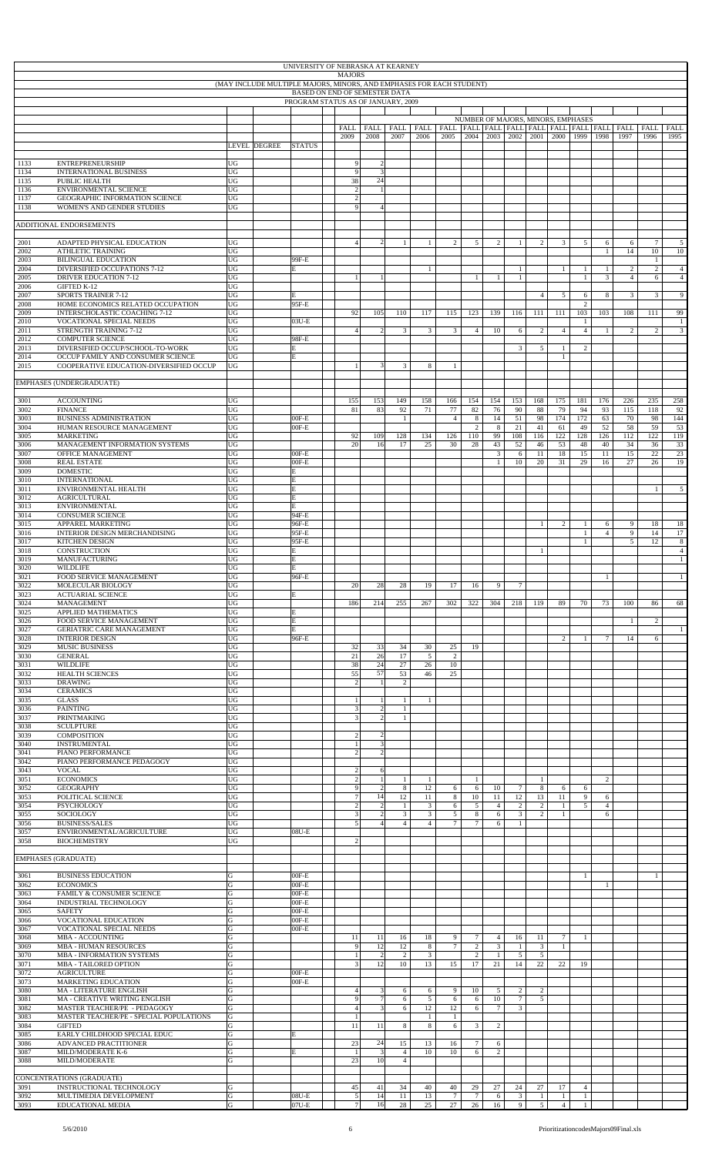|              |                                                                              |                   |                                                                      | UNIVERSITY OF NEBRASKA AT KEARNEY  |                                |                                           |                                  |                     |                    |                                   |                                  |                 |                    |                                    |                       |                     |                                                              |                                |                                |
|--------------|------------------------------------------------------------------------------|-------------------|----------------------------------------------------------------------|------------------------------------|--------------------------------|-------------------------------------------|----------------------------------|---------------------|--------------------|-----------------------------------|----------------------------------|-----------------|--------------------|------------------------------------|-----------------------|---------------------|--------------------------------------------------------------|--------------------------------|--------------------------------|
|              |                                                                              |                   | (MAY INCLUDE MULTIPLE MAJORS, MINORS, AND EMPHASES FOR EACH STUDENT) |                                    | <b>MAJORS</b>                  |                                           |                                  |                     |                    |                                   |                                  |                 |                    |                                    |                       |                     |                                                              |                                |                                |
|              |                                                                              |                   |                                                                      | PROGRAM STATUS AS OF JANUARY, 2009 | BASED ON END OF SEMESTER DATA  |                                           |                                  |                     |                    |                                   |                                  |                 |                    |                                    |                       |                     |                                                              |                                |                                |
|              |                                                                              |                   |                                                                      |                                    |                                |                                           |                                  |                     |                    |                                   |                                  |                 |                    |                                    |                       |                     |                                                              |                                |                                |
|              |                                                                              |                   |                                                                      |                                    | FALL                           | FALL                                      | FALL                             | FALL                |                    |                                   |                                  |                 |                    | NUMBER OF MAJORS, MINORS, EMPHASES |                       |                     | FALL   FALL   FALL   FALL   FALL   FALL   FALL   FALL   FALL | FALL                           | FALL                           |
|              |                                                                              |                   | <b>LEVEL DEGREE</b>                                                  | <b>STATUS</b>                      | 2009                           | 2008                                      | 2007                             | 2006                | 2005               | 2004                              | 2003                             | 2002            | 2001               | 2000                               | 1999                  | 1998                | 1997                                                         | 1996                           | 1995                           |
|              |                                                                              |                   |                                                                      |                                    |                                |                                           |                                  |                     |                    |                                   |                                  |                 |                    |                                    |                       |                     |                                                              |                                |                                |
| 1133<br>1134 | <b>ENTREPRENEURSHIP</b><br><b>INTERNATIONAL BUSINESS</b>                     | UG<br>UG          |                                                                      |                                    | 9<br>$\overline{9}$            | $\overline{c}$<br>3                       |                                  |                     |                    |                                   |                                  |                 |                    |                                    |                       |                     |                                                              |                                |                                |
| 1135         | PUBLIC HEALTH                                                                | UG                |                                                                      |                                    | 38                             | 24                                        |                                  |                     |                    |                                   |                                  |                 |                    |                                    |                       |                     |                                                              |                                |                                |
| 1136<br>1137 | ENVIRONMENTAL SCIENCE<br><b>GEOGRAPHIC INFORMATION SCIENCE</b>               | UG<br>UG          |                                                                      |                                    | $\sqrt{2}$<br>$\sqrt{2}$       |                                           |                                  |                     |                    |                                   |                                  |                 |                    |                                    |                       |                     |                                                              |                                |                                |
| 1138         | WOMEN'S AND GENDER STUDIES                                                   | UG                |                                                                      |                                    | 9                              | $\overline{4}$                            |                                  |                     |                    |                                   |                                  |                 |                    |                                    |                       |                     |                                                              |                                |                                |
|              | ADDITIONAL ENDORSEMENTS                                                      |                   |                                                                      |                                    |                                |                                           |                                  |                     |                    |                                   |                                  |                 |                    |                                    |                       |                     |                                                              |                                |                                |
| 2001         | ADAPTED PHYSICAL EDUCATION                                                   | UG                |                                                                      |                                    |                                | 4 <sup>1</sup><br>$\overline{2}$          | 1                                | $\mathbf{1}$        | $\overline{c}$     | 5                                 | $\overline{c}$                   | 1               | 2                  | 3                                  | $\sqrt{5}$            | 6                   | 6                                                            | $7\phantom{.0}$                | 5                              |
| 2002         | ATHLETIC TRAINING                                                            | UG                |                                                                      |                                    |                                |                                           |                                  |                     |                    |                                   |                                  |                 |                    |                                    |                       | $\mathbf{1}$        | 14                                                           | 10                             | 10                             |
| 2003<br>2004 | <b>BILINGUAL EDUCATION</b><br>DIVERSIFIED OCCUPATIONS 7-12                   | UG<br>UG          |                                                                      | 99F-E<br>E                         |                                |                                           |                                  | $\mathbf{1}$        |                    |                                   |                                  | 1               |                    | 1                                  | -1                    | $\mathbf{1}$        | $\overline{c}$                                               | $\mathbf{1}$<br>$\overline{c}$ | $\overline{4}$                 |
| 2005         | <b>DRIVER EDUCATION 7-12</b>                                                 | UG                |                                                                      |                                    |                                | 1 <sup>1</sup><br>$\mathbf{1}$            |                                  |                     |                    | $\mathbf{1}$                      | $\mathbf{1}$                     | $\mathbf{1}$    |                    |                                    | $\mathbf{1}$          | $\mathbf{3}$        | $\overline{4}$                                               | 6                              | $\overline{4}$                 |
| 2006<br>2007 | GIFTED K-12<br>SPORTS TRAINER 7-12                                           | UG<br>$_{\rm UG}$ |                                                                      | Е                                  |                                |                                           |                                  |                     |                    |                                   |                                  |                 | $\overline{4}$     | $\sqrt{5}$                         | 6                     | 8                   | $\overline{3}$                                               | $\mathbf{3}$                   | 9                              |
| 2008<br>2009 | HOME ECONOMICS RELATED OCCUPATION                                            | UG<br>UG          |                                                                      | 95F-E                              | 92                             | 105                                       | 110                              | 117                 | 115                | 123                               | 139                              | 116             |                    |                                    | $\overline{c}$<br>103 | 103                 |                                                              | 111                            | 99                             |
| 2010         | INTERSCHOLASTIC COACHING 7-12<br>VOCATIONAL SPECIAL NEEDS                    | UG                |                                                                      | $03U-E$                            |                                |                                           |                                  |                     |                    |                                   |                                  |                 | 111                | 111                                | -1                    |                     | 108                                                          |                                | $\mathbf{1}$                   |
| 2011<br>2012 | STRENGTH TRAINING 7-12<br><b>COMPUTER SCIENCE</b>                            | UG<br>UG          |                                                                      | 98F-E                              | $\overline{4}$                 | 2                                         | 3                                | $\mathfrak{Z}$      | 3                  | $\overline{4}$                    | 10                               | 6               | $\overline{c}$     | $\overline{4}$                     | $\overline{4}$        | $\mathbf{1}$        | $\overline{c}$                                               | $\overline{2}$                 | 3                              |
| 2013         | DIVERSIFIED OCCUP/SCHOOL-TO-WORK                                             | UG                |                                                                      | E                                  |                                |                                           |                                  |                     |                    |                                   |                                  | 3               | 5                  | $\mathbf{1}$                       | $\sqrt{2}$            |                     |                                                              |                                |                                |
| 2014<br>2015 | OCCUP FAMILY AND CONSUMER SCIENCE<br>COOPERATIVE EDUCATION-DIVERSIFIED OCCUP | UG<br>$_{\rm UG}$ |                                                                      | E                                  |                                | 3                                         | 3                                | 8                   | $\mathbf{1}$       |                                   |                                  |                 |                    | $\mathbf{1}$                       |                       |                     |                                                              |                                |                                |
|              |                                                                              |                   |                                                                      |                                    |                                |                                           |                                  |                     |                    |                                   |                                  |                 |                    |                                    |                       |                     |                                                              |                                |                                |
|              | <b>EMPHASES (UNDERGRADUATE)</b>                                              |                   |                                                                      |                                    |                                |                                           |                                  |                     |                    |                                   |                                  |                 |                    |                                    |                       |                     |                                                              |                                |                                |
| 3001<br>3002 | <b>ACCOUNTING</b><br><b>FINANCE</b>                                          | UG<br>UG          |                                                                      |                                    | 155<br>81                      | 153<br>83                                 | 149<br>92                        | 158<br>71           | 166<br>77          | 154<br>82                         | 154<br>76                        | 153<br>90       | 168<br>88          | 175<br>79                          | 181<br>94             | 176<br>93           | 226<br>115                                                   | 235<br>118                     | 258<br>92                      |
| 3003         | <b>BUSINESS ADMINISTRATION</b>                                               | UG                |                                                                      | $00F-E$                            |                                |                                           | -1                               |                     | $\overline{4}$     | 8                                 | 14                               | 51              | 98                 | 174                                | 172                   | 63                  | 70                                                           | 98                             | 144                            |
| 3004<br>3005 | HUMAN RESOURCE MANAGEMENT<br><b>MARKETING</b>                                | UG<br>UG          |                                                                      | $00F-E$                            | 92                             | 109                                       | 128                              | 134                 | 126                | 2<br>110                          | 8<br>99                          | 21<br>108       | 41<br>116          | 61<br>122                          | 49<br>128             | 52<br>126           | 58<br>112                                                    | 59<br>122                      | 53<br>119                      |
| 3006         | MANAGEMENT INFORMATION SYSTEMS                                               | UG                |                                                                      |                                    | 20                             | 16                                        | 17                               | 25                  | 30                 | 28                                | 43                               | 52              | 46                 | 53                                 | 48                    | 40                  | 34                                                           | 36                             | 33                             |
| 3007<br>3008 | OFFICE MANAGEMENT<br><b>REAL ESTATE</b>                                      | $_{\rm UG}$<br>UG |                                                                      | $00F-E$<br>$00F-E$                 |                                |                                           |                                  |                     |                    |                                   | 3<br>$\mathbf{1}$                | 6<br>10         | 11<br>20           | 18<br>31                           | 15<br>29              | 11<br>16            | 15<br>27                                                     | 22<br>26                       | 23<br>19                       |
| 3009         | <b>DOMESTIC</b>                                                              | UG                |                                                                      | E                                  |                                |                                           |                                  |                     |                    |                                   |                                  |                 |                    |                                    |                       |                     |                                                              |                                |                                |
| 3010<br>3011 | <b>INTERNATIONAL</b><br>ENVIRONMENTAL HEALTH                                 | UG<br>UG          |                                                                      | E<br>$\mathbf E$                   |                                |                                           |                                  |                     |                    |                                   |                                  |                 |                    |                                    |                       |                     |                                                              | $\mathbf{1}$                   | 5                              |
| 3012<br>3013 | AGRICULTURAL<br><b>ENVIRONMENTAL</b>                                         | UG<br>UG          |                                                                      | E<br>E                             |                                |                                           |                                  |                     |                    |                                   |                                  |                 |                    |                                    |                       |                     |                                                              |                                |                                |
| 3014         | <b>CONSUMER SCIENCE</b>                                                      | $_{\rm UG}$       |                                                                      | 94F-E                              |                                |                                           |                                  |                     |                    |                                   |                                  |                 |                    |                                    |                       |                     |                                                              |                                |                                |
| 3015<br>3016 | APPAREL MARKETING<br>INTERIOR DESIGN MERCHANDISING                           | UG<br>UG          |                                                                      | 96F-E<br>95F-E                     |                                |                                           |                                  |                     |                    |                                   |                                  |                 | $\mathbf{1}$       | $\overline{c}$                     | 1<br>$\mathbf{1}$     | 6<br>$\overline{4}$ | 9<br>9                                                       | 18<br>14                       | 18<br>17                       |
| 3017         | <b>KITCHEN DESIGN</b>                                                        | UG                |                                                                      | 95F-E                              |                                |                                           |                                  |                     |                    |                                   |                                  |                 |                    |                                    | -1                    |                     | 5                                                            | 12                             | 8                              |
| 3018<br>3019 | <b>CONSTRUCTION</b><br>MANUFACTURING                                         | UG<br>UG          |                                                                      | E<br>E                             |                                |                                           |                                  |                     |                    |                                   |                                  |                 | -1                 |                                    |                       |                     |                                                              |                                | $\overline{4}$<br>$\mathbf{1}$ |
| 3020         | <b>WILDLIFE</b>                                                              | UG                |                                                                      | E                                  |                                |                                           |                                  |                     |                    |                                   |                                  |                 |                    |                                    |                       |                     |                                                              |                                |                                |
| 3021<br>3022 | FOOD SERVICE MANAGEMENT<br>MOLECULAR BIOLOGY                                 | UG<br>UG          |                                                                      | 96F-E                              | 20                             | 28                                        | 28                               | 19                  | 17                 | 16                                | 9                                | $\tau$          |                    |                                    |                       | $\mathbf{1}$        |                                                              |                                | 1                              |
| 3023<br>3024 | <b>ACTUARIAL SCIENCE</b><br>MANAGEMENT                                       | UG<br>UG          |                                                                      | Е                                  | 186                            | 214                                       | 255                              | 267                 | 302                | 322                               | 304                              | 218             | 119                | 89                                 | 70                    | 73                  | 100                                                          | 86                             | 68                             |
| 3025         | APPLIED MATHEMATICS                                                          | UG                |                                                                      | E                                  |                                |                                           |                                  |                     |                    |                                   |                                  |                 |                    |                                    |                       |                     |                                                              |                                |                                |
| 3026<br>3027 | FOOD SERVICE MANAGEMENT<br><b>GERIATRIC CARE MANAGEMENT</b>                  | UG<br>UG          |                                                                      | E<br>E                             |                                |                                           |                                  |                     |                    |                                   |                                  |                 |                    |                                    |                       |                     | -1                                                           | 2                              | $\mathbf{1}$                   |
| 3028         | <b>INTERIOR DESIGN</b>                                                       | UG                |                                                                      | 96F-E                              |                                |                                           |                                  |                     |                    |                                   |                                  |                 |                    | 2                                  | 1                     | $\tau$              | 14                                                           | 6                              |                                |
| 3029<br>3030 | <b>MUSIC BUSINESS</b><br><b>GENERAL</b>                                      | UG<br>UG          |                                                                      |                                    | 32<br>21                       | 33<br>26                                  | 34<br>17                         | 30<br>5             | 25<br>2            | 19                                |                                  |                 |                    |                                    |                       |                     |                                                              |                                |                                |
| 3031         | <b>WILDLIFE</b>                                                              | UG                |                                                                      |                                    | 38                             | 24                                        | 27                               | 26                  | 10                 |                                   |                                  |                 |                    |                                    |                       |                     |                                                              |                                |                                |
| 3032<br>3033 | HEALTH SCIENCES<br><b>DRAWING</b>                                            | $_{\rm UG}$<br>UG |                                                                      |                                    | 55<br>$\overline{c}$           | 57                                        | 53<br>$\overline{2}$             | 46                  | 25                 |                                   |                                  |                 |                    |                                    |                       |                     |                                                              |                                |                                |
| 3034<br>3035 | <b>CERAMICS</b><br><b>GLASS</b>                                              | UG<br>UG          |                                                                      |                                    | 1                              | 1                                         |                                  |                     |                    |                                   |                                  |                 |                    |                                    |                       |                     |                                                              |                                |                                |
| 3036         | <b>PAINTING</b>                                                              | UG                |                                                                      |                                    |                                | $\overline{3}$<br>$\overline{2}$          | 1<br>$\mathbf{1}$                | $\mathbf{1}$        |                    |                                   |                                  |                 |                    |                                    |                       |                     |                                                              |                                |                                |
| 3037<br>3038 | PRINTMAKING<br><b>SCULPTURE</b>                                              | UG<br>UG          |                                                                      |                                    |                                | 3 <sup>1</sup><br>$\overline{2}$          | $\mathbf{1}$                     |                     |                    |                                   |                                  |                 |                    |                                    |                       |                     |                                                              |                                |                                |
| 3039         | <b>COMPOSITION</b>                                                           | $_{\rm UG}$       |                                                                      |                                    | $\boldsymbol{2}$               | $\overline{c}$                            |                                  |                     |                    |                                   |                                  |                 |                    |                                    |                       |                     |                                                              |                                |                                |
| 3040<br>3041 | <b>INSTRUMENTAL</b><br>PIANO PERFORMANCE                                     | UG<br>UG          |                                                                      |                                    | $\mathbf{1}$<br>$\overline{c}$ | $\overline{\mathbf{3}}$<br>$\overline{2}$ |                                  |                     |                    |                                   |                                  |                 |                    |                                    |                       |                     |                                                              |                                |                                |
| 3042         | PIANO PERFORMANCE PEDAGOGY                                                   | UG                |                                                                      |                                    |                                |                                           |                                  |                     |                    |                                   |                                  |                 |                    |                                    |                       |                     |                                                              |                                |                                |
| 3043<br>3051 | <b>VOCAL</b><br><b>ECONOMICS</b>                                             | UG<br>UG          |                                                                      |                                    | $\sqrt{2}$<br>$\sqrt{2}$       | 6 <sup>1</sup><br>$\mathbf{1}$            | $\mathbf{1}$                     | $\mathbf{1}$        |                    | $\mathbf{1}$                      |                                  |                 | -1                 |                                    |                       | 2                   |                                                              |                                |                                |
| 3052         | <b>GEOGRAPHY</b>                                                             | UG<br>UG          |                                                                      |                                    | $\overline{9}$<br>$\tau$       | $\overline{2}$<br>14                      | 8<br>12                          | 12                  | 6<br>$\,$ 8 $\,$   | 6<br>10                           | 10<br>11                         | $7\phantom{.0}$ | 8<br>13            | 6<br>11                            | 6<br>9                | 6                   |                                                              |                                |                                |
| 3053<br>3054 | POLITICAL SCIENCE<br><b>PSYCHOLOGY</b>                                       | UG                |                                                                      |                                    | $\sqrt{2}$                     |                                           | $\mathbf{1}$                     | 11<br>3             | 6                  | 5                                 | $\overline{4}$                   | 12<br>2         | $\boldsymbol{2}$   | $\mathbf{1}$                       | 5                     | $\overline{4}$      |                                                              |                                |                                |
| 3055<br>3056 | SOCIOLOGY<br><b>BUSINESS/SALES</b>                                           | UG<br>UG          |                                                                      |                                    | $\sqrt{3}$<br>5                | $\overline{c}$<br>$\overline{4}$          | $\overline{3}$<br>$\overline{4}$ | 3<br>$\overline{4}$ | 5<br>$\tau$        | 8<br>$\tau$                       | 6<br>6                           | 3<br>-1         | 2                  | $\mathbf{1}$                       |                       | 6                   |                                                              |                                |                                |
| 3057         | ENVIRONMENTAL/AGRICULTURE                                                    | UG                |                                                                      | $08U-E$                            |                                |                                           |                                  |                     |                    |                                   |                                  |                 |                    |                                    |                       |                     |                                                              |                                |                                |
| 3058         | <b>BIOCHEMISTRY</b>                                                          | UG                |                                                                      |                                    | $\overline{c}$                 |                                           |                                  |                     |                    |                                   |                                  |                 |                    |                                    |                       |                     |                                                              |                                |                                |
|              | <b>EMPHASES (GRADUATE)</b>                                                   |                   |                                                                      |                                    |                                |                                           |                                  |                     |                    |                                   |                                  |                 |                    |                                    |                       |                     |                                                              |                                |                                |
| 3061         | <b>BUSINESS EDUCATION</b>                                                    | G                 |                                                                      | $00F-E$                            |                                |                                           |                                  |                     |                    |                                   |                                  |                 |                    |                                    | $\mathbf{1}$          |                     |                                                              | -1                             |                                |
| 3062<br>3063 | <b>ECONOMICS</b><br>FAMILY & CONSUMER SCIENCE                                | G<br>G            |                                                                      | $00F-E$<br>$00F-E$                 |                                |                                           |                                  |                     |                    |                                   |                                  |                 |                    |                                    |                       | 1                   |                                                              |                                |                                |
| 3064         | INDUSTRIAL TECHNOLOGY                                                        | G                 |                                                                      | $00F-E$                            |                                |                                           |                                  |                     |                    |                                   |                                  |                 |                    |                                    |                       |                     |                                                              |                                |                                |
| 3065<br>3066 | <b>SAFETY</b><br>VOCATIONAL EDUCATION                                        | G<br>G            |                                                                      | $00F-E$<br>$00F-E$                 |                                |                                           |                                  |                     |                    |                                   |                                  |                 |                    |                                    |                       |                     |                                                              |                                |                                |
| 3067         | VOCATIONAL SPECIAL NEEDS                                                     | G                 |                                                                      | $00F-E$                            |                                |                                           |                                  |                     |                    |                                   |                                  |                 |                    |                                    |                       |                     |                                                              |                                |                                |
| 3068<br>3069 | <b>MBA - ACCOUNTING</b><br>MBA - HUMAN RESOURCES                             | G<br>G            |                                                                      |                                    | 11<br>9                        | 11<br>12                                  | 16<br>12                         | 18<br>8             | 9<br>$\tau$        | $7\phantom{.0}$<br>$\overline{c}$ | $\overline{4}$<br>$\mathfrak{Z}$ | 16<br>-1        | 11<br>$\mathbf{3}$ | $\tau$<br>$\mathbf{1}$             | $\mathbf{1}$          |                     |                                                              |                                |                                |
| 3070         | MBA - INFORMATION SYSTEMS                                                    | G                 |                                                                      |                                    | $\mathbf{1}$                   | 2                                         | 2                                | $\mathbf{3}$        |                    | $\overline{2}$                    | $\mathbf{1}$                     | $\sqrt{5}$      | 5                  |                                    |                       |                     |                                                              |                                |                                |
| 3071<br>3072 | <b>MBA - TAILORED OPTION</b><br><b>AGRICULTURE</b>                           | G<br>G            |                                                                      | $00F-E$                            | $\sqrt{3}$                     | 12                                        | 10                               | 13                  | 15                 | 17                                | 21                               | 14              | 22                 | 22                                 | 19                    |                     |                                                              |                                |                                |
| 3073<br>3080 | MARKETING EDUCATION<br><b>MA - LITERATURE ENGLISH</b>                        | G<br>G            |                                                                      | $00F-E$                            | $\overline{4}$                 | 3                                         |                                  |                     | 9                  | 10                                |                                  | 2               | $\overline{c}$     |                                    |                       |                     |                                                              |                                |                                |
| 3081         | <b>MA - CREATIVE WRITING ENGLISH</b>                                         | G                 |                                                                      |                                    | 9                              | $7\overline{}$                            | 6<br>6                           | 6<br>5              | $\sqrt{6}$         | 6                                 | 5<br>10                          | $\tau$          | 5                  |                                    |                       |                     |                                                              |                                |                                |
| 3082<br>3083 | MASTER TEACHER/PE - PEDAGOGY<br>MASTER TEACHER/PE - SPECIAL POPULATIONS      | G<br>G            |                                                                      |                                    | $\overline{4}$<br>1            | $\overline{\mathbf{3}}$                   | 6                                | 12<br>$\mathbf{1}$  | 12<br>$\mathbf{1}$ | 6                                 | $\tau$                           | 3               |                    |                                    |                       |                     |                                                              |                                |                                |
| 3084         | <b>GIFTED</b>                                                                | G                 |                                                                      |                                    | 11                             | 11                                        | 8                                | 8                   | 6                  | 3                                 | $\overline{c}$                   |                 |                    |                                    |                       |                     |                                                              |                                |                                |
| 3085<br>3086 | EARLY CHILDHOOD SPECIAL EDUC<br>ADVANCED PRACTITIONER                        | G<br>G            |                                                                      | Е                                  | 23                             | 24                                        | 15                               | 13                  | 16                 | $\tau$                            | 6                                |                 |                    |                                    |                       |                     |                                                              |                                |                                |
| 3087         | MILD/MODERATE K-6                                                            | G                 |                                                                      | E                                  | 1                              | 3                                         | $\overline{4}$                   | 10                  | 10                 | 6                                 | $\overline{c}$                   |                 |                    |                                    |                       |                     |                                                              |                                |                                |
| 3088         | MILD/MODERATE                                                                | G                 |                                                                      |                                    | 23                             | 10                                        | $\overline{4}$                   |                     |                    |                                   |                                  |                 |                    |                                    |                       |                     |                                                              |                                |                                |
| 3091         | <b>CONCENTRATIONS (GRADUATE)</b><br>INSTRUCTIONAL TECHNOLOGY                 | G                 |                                                                      |                                    | 45                             | 41                                        | 34                               | 40                  | 40                 | 29                                | 27                               | 24              | 27                 | 17                                 | $\overline{4}$        |                     |                                                              |                                |                                |
| 3092         | MULTIMEDIA DEVELOPMENT                                                       | G                 |                                                                      | $08U-E$                            |                                | $5\vert$<br>14                            | 11                               | 13                  | $\tau$             | $7\phantom{.0}$                   | 6                                | 3               | $\mathbf{1}$       | $\mathbf{1}$                       | $\mathbf{1}$          |                     |                                                              |                                |                                |
| 3093         | EDUCATIONAL MEDIA                                                            | G                 |                                                                      | $07U-E$                            |                                | 7 <sup>1</sup><br>16                      | 28                               | 25                  | 27                 | 26                                | 16                               | 9               | 5 <sup>5</sup>     | $\overline{4}$                     | $\mathbf{1}$          |                     |                                                              |                                |                                |